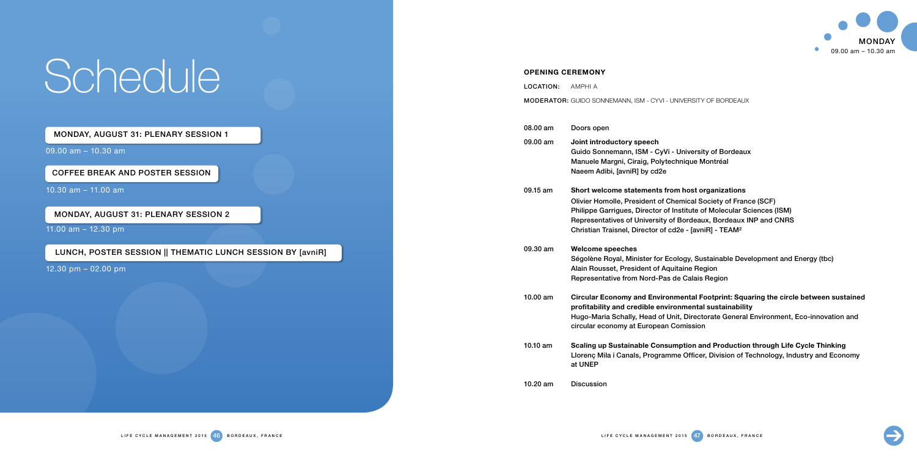09.00 am – 10.30 am

10.30 am – 11.00 am

11.00 am – 12.30 pm

LUNCH, POSTER SESSION || THEMATIC LUNCH SESSION BY [avniR]

12.30 pm – 02.00 pm

MONDAY, AUGUST 31: plenary session 1

Coffee break and poster session



ersity of Bordeaux ue Montréal

ost organizations al Society of France (SCF) ute of Molecular Sciences (ISM) deaux, Bordeaux INP and CNRS [avniR] - TEAM<sup>2</sup>

- , Sustainable Development and Energy (tbc)
- e Region
- alais Region

tal Footprint: Squaring the circle between sustained ental sustainability

irectorate General Environment, Eco-innovation and ssion

on and Production through Life Cycle Thinking fficer, Division of Technology, Industry and Economy



## Opening ceremony

| LOCATION: AMPHI A |                                                                        |
|-------------------|------------------------------------------------------------------------|
|                   | <b>MODERATOR:</b> GUIDO SONNEMANN, ISM - CYVI - UNIVERSITY OF BORDEAUX |

| 08.00 am   | Doors open                                                                                                                                                                                               |
|------------|----------------------------------------------------------------------------------------------------------------------------------------------------------------------------------------------------------|
| 09.00 am   | Joint introductory speech<br>Guido Sonnemann, ISM - CyVi - Unive<br>Manuele Margni, Ciraig, Polytechniqu<br>Naeem Adibi, [avniR] by cd2e                                                                 |
| 09.15 am   | Short welcome statements from hot<br>Olivier Homolle, President of Chemica<br>Philippe Garrigues, Director of Institu<br>Representatives of University of Bord<br>Christian Traisnel, Director of cd2e - |
| 09.30 am   | <b>Welcome speeches</b><br>Ségolène Royal, Minister for Ecology<br>Alain Rousset, President of Aquitaine<br>Representative from Nord-Pas de Ca                                                           |
| $10.00$ am | <b>Circular Economy and Environment</b><br>profitability and credible environme<br>Hugo-Maria Schally, Head of Unit, Di<br>circular economy at European Comis                                            |
| 10.10 am   | <b>Scaling up Sustainable Consumptio</b><br>Llorenç Mila i Canals, Programme Of<br>at UNEP                                                                                                               |
| 10.20 am   | <b>Discussion</b>                                                                                                                                                                                        |

MONDAY, AUGUST 31: plenary session 2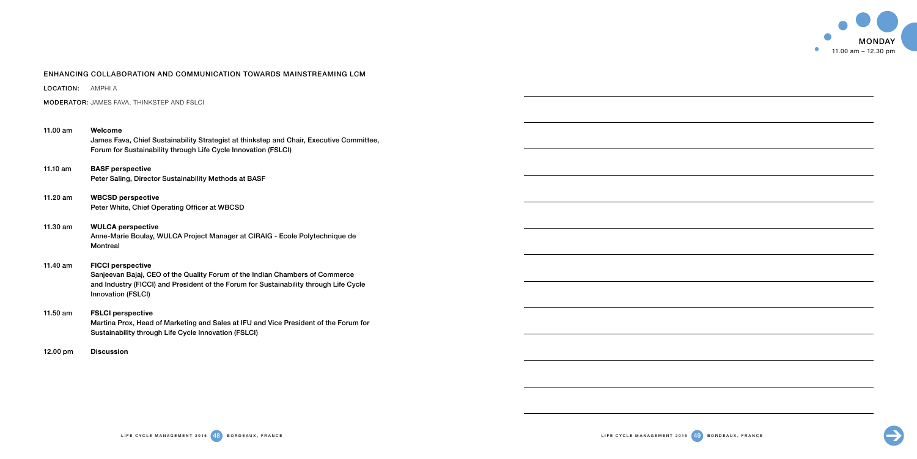

|                                                                                                                      |  | $\overline{\phantom{a}}$ |
|----------------------------------------------------------------------------------------------------------------------|--|--------------------------|
|                                                                                                                      |  |                          |
|                                                                                                                      |  |                          |
|                                                                                                                      |  |                          |
|                                                                                                                      |  |                          |
|                                                                                                                      |  |                          |
|                                                                                                                      |  |                          |
|                                                                                                                      |  |                          |
|                                                                                                                      |  |                          |
|                                                                                                                      |  |                          |
|                                                                                                                      |  |                          |
| <u> 1980 - Johann Barbara, martxa alemaniar argumento de la contrada de la contrada de la contrada de la contrad</u> |  |                          |



## EnHANCING COLLABORATION AND COMMUNICATION TOWARDS MAINSTREAMING LCM

LOCATION: AMPHI A

Moderator: jAmES fava, thinkstep and FSLCI

# 11.00 am Welcome James Fava, Chief Sustainability Strategist at thinkstep and Chair, Executive Committee, Forum for Sustainability through Life Cycle Innovation (FSLCI) 11.10 am BASF perspective Peter Saling, Director Sustainability Methods at BASF 11.20 am WBCSD perspective Peter White, Chief Operating Officer at WBCSD 11.30 am WULCA perspective Anne-Marie Boulay, WULCA Project Manager at CIRAIG - Ecole Polytechnique de Montreal 11.40 am FICCI perspective Sanjeevan Bajaj, CEO of the Quality Forum of the Indian Chambers of Commerce and Industry (FICCI) and President of the Forum for Sustainability through Life Cycle Innovation (FSLCI) 11.50 am FSLCI perspective Martina Prox, Head of Marketing and Sales at IFU and Vice President of the Forum for Sustainability through Life Cycle Innovation (FSLCI) 12.00 pm Discussion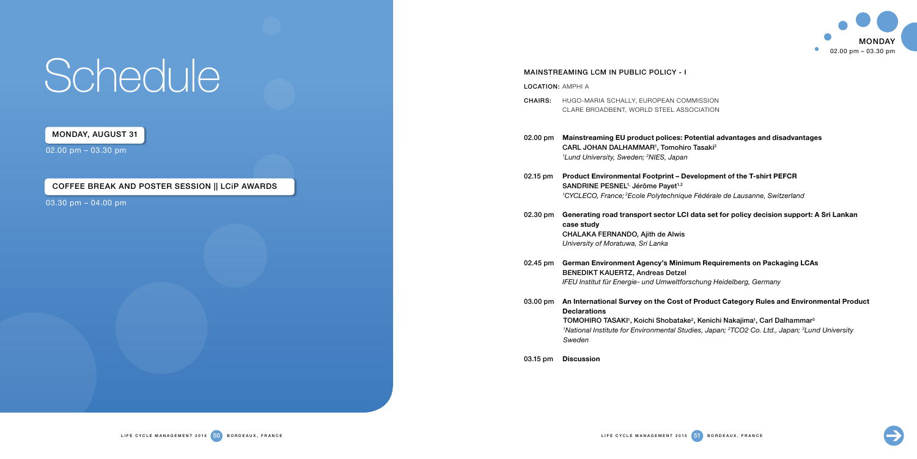02.00 pm – 03.30 pm

03.30 pm – 04.00 pm

# **Schedule**

MONDAY, AUGUST 31

Coffee break and poster session || LCiP awards



## Mainstreaming LCM in public policy - I

LOCATION: AMPHI A

## 02.30 pm Generating road transport sector LCI data set for policy decision support: A Sri Lankan

- Chairs: Hugo-maria schally, European ComMission Clare Broadbent, World Steel Association
- 02.00 pm Mainstreaming EU product polices: Potential advantages and disadvantages CARL JOHAN DALHAMMAR<sup>1</sup>, Tomohiro Tasaki<sup>2</sup> <sup>1</sup>Lund University, Sweden; <sup>2</sup>NIES, Japan
- 02.15 pm Product Environmental Footprint Development of the T-shirt PEFCR SANDRINE PESNEL<sup>1,</sup> Jérôme Payet<sup>1,2</sup> <sup>1</sup>CYCLECO, France; <sup>2</sup>Ecole Polytechnique Fédérale de Lausanne, Switzerland
- case study Chalaka Fernando, Ajith de Alwis University of Moratuwa, Sri Lanka
- 02.45 pm German Environment Agency's Minimum Requirements on Packaging LCAs BENEDIKT KAUERTZ, Andreas Detzel IFEU Institut für Energie- und Umweltforschung Heidelberg, Germany
- Declarations TOMOHIRO TASAKI', Koichi Shobatake<sup>2</sup>, Kenichi Nakajima', Carl Dalhammar<sup>3</sup> Sweden

## 03.00 pm An International Survey on the Cost of Product Category Rules and Environmental Product

<sup>1</sup>National Institute for Environmental Studies, Japan; <sup>2</sup>TCO2 Co. Ltd., Japan; <sup>3</sup>Lund University



03.15 pm Discussion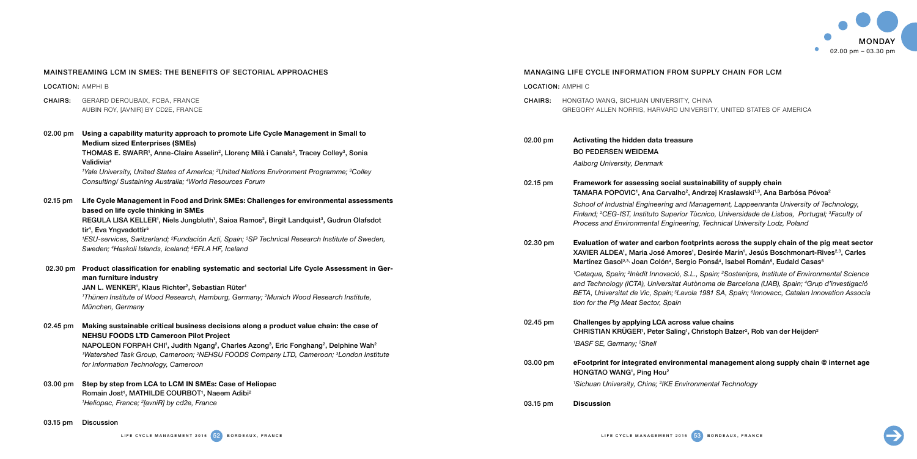| MAINSTREAMING LCM IN SMES: THE BENEFITS OF SECTORIAL APPROACHES |                                                                                                                                                                                                                                                                                                                                                                                                                              | <b>MANAGING LIFE CYCLE INFORMATION FROM SUPP</b> |                                                                                                                                                                                                                                                                   |  |  |
|-----------------------------------------------------------------|------------------------------------------------------------------------------------------------------------------------------------------------------------------------------------------------------------------------------------------------------------------------------------------------------------------------------------------------------------------------------------------------------------------------------|--------------------------------------------------|-------------------------------------------------------------------------------------------------------------------------------------------------------------------------------------------------------------------------------------------------------------------|--|--|
| <b>LOCATION: AMPHI B</b>                                        |                                                                                                                                                                                                                                                                                                                                                                                                                              |                                                  | <b>LOCATION: AMPHI C</b>                                                                                                                                                                                                                                          |  |  |
| <b>CHAIRS:</b>                                                  | GERARD DEROUBAIX, FCBA, FRANCE<br>AUBIN ROY, [AVNIR] BY CD2E, FRANCE                                                                                                                                                                                                                                                                                                                                                         | CHAIRS:                                          | HONGTAO WANG, SICHUAN UNIVERSITY, CHINA<br>GREGORY ALLEN NORRIS, HARVARD UNIVERSI                                                                                                                                                                                 |  |  |
| $02.00 \,\mathrm{pm}$                                           | Using a capability maturity approach to promote Life Cycle Management in Small to<br><b>Medium sized Enterprises (SMEs)</b><br>THOMAS E. SWARR1, Anne-Claire Asselin <sup>2</sup> , Llorenç Milà i Canals <sup>2</sup> , Tracey Colley <sup>3</sup> , Sonia<br>Validivia <sup>4</sup><br><sup>1</sup> Yale University, United States of America; <sup>2</sup> United Nations Environment Programme; <sup>3</sup> Colley      | 02.00 pm                                         | Activating the hidden data treasure<br><b>BO PEDERSEN WEIDEMA</b><br>Aalborg University, Denmark                                                                                                                                                                  |  |  |
| 02.15 pm                                                        | Consulting/ Sustaining Australia; <sup>4</sup> World Resources Forum<br>Life Cycle Management in Food and Drink SMEs: Challenges for environmental assessments<br>based on life cycle thinking in SMEs<br>REGULA LISA KELLER <sup>1</sup> , Niels Jungbluth <sup>1</sup> , Saioa Ramos <sup>2</sup> , Birgit Landquist <sup>3</sup> , Gudrun Olafsdot<br>tir <sup>4</sup> , Eva Yngvadottir <sup>5</sup>                     | 02.15 pm                                         | Framework for assessing social sustaina<br>TAMARA POPOVIC <sup>1</sup> , Ana Carvalho <sup>2</sup> , Andrz<br>School of Industrial Engineering and Manag<br>Finland; <sup>2</sup> CEG-IST, Instituto Superior Tucnic<br>Process and Environmental Engineering, Te |  |  |
|                                                                 | <sup>1</sup> ESU-services, Switzerland; <sup>2</sup> Fundación Azti, Spain; <sup>3</sup> SP Technical Research Institute of Sweden,<br>Sweden; <sup>4</sup> Haskoli Islands, Iceland; <sup>5</sup> EFLA HF, Iceland                                                                                                                                                                                                          | 02.30 pm                                         | Evaluation of water and carbon footprint<br>XAVIER ALDEA <sup>1</sup> , Maria José Amores <sup>1</sup> , Des<br>Martínez Gasol <sup>2,3,</sup> Joan Colón <sup>4</sup> , Sergio Pon                                                                               |  |  |
| 02.30 pm                                                        | Product classification for enabling systematic and sectorial Life Cycle Assessment in Ger-<br>man furniture industry<br>JAN L. WENKER <sup>1</sup> , Klaus Richter <sup>2</sup> , Sebastian Rüter <sup>1</sup><br><sup>1</sup> Thünen Institute of Wood Research, Hamburg, Germany; <sup>2</sup> Munich Wood Research Institute,<br>München, Germany                                                                         |                                                  | <sup>1</sup> Cetaqua, Spain; <sup>2</sup> Inèdit Innovació, S.L., Spa<br>and Technology (ICTA), Universitat Autònom<br>BETA, Universitat de Vic, Spain; <sup>5</sup> Lavola 198<br>tion for the Pig Meat Sector, Spain                                            |  |  |
| 02.45 pm                                                        | Making sustainable critical business decisions along a product value chain: the case of<br><b>NEHSU FOODS LTD Cameroon Pilot Project</b><br>NAPOLEON FORPAH CHI <sup>1</sup> , Judith Ngang <sup>2</sup> , Charles Azong <sup>3</sup> , Eric Fonghang <sup>2</sup> , Delphine Wah <sup>2</sup><br><sup>1</sup> Watershed Task Group, Cameroon; <sup>2</sup> NEHSU FOODS Company LTD, Cameroon; <sup>3</sup> London Institute | 02.45 pm                                         | Challenges by applying LCA across value<br>CHRISTIAN KRÜGER <sup>1</sup> , Peter Saling <sup>1</sup> , Christ<br><sup>1</sup> BASF SE, Germany; <sup>2</sup> Shell                                                                                                |  |  |
|                                                                 | for Information Technology, Cameroon                                                                                                                                                                                                                                                                                                                                                                                         | 03.00 pm                                         | eFootprint for integrated environmental<br>HONGTAO WANG <sup>1</sup> , Ping Hou <sup>2</sup>                                                                                                                                                                      |  |  |
| 03.00 pm                                                        | Step by step from LCA to LCM IN SMEs: Case of Heliopac<br>Romain Jost <sup>1</sup> , MATHILDE COURBOT <sup>1</sup> , Naeem Adibi <sup>2</sup>                                                                                                                                                                                                                                                                                |                                                  | <sup>1</sup> Sichuan University, China; <sup>2</sup> IKE Environmer                                                                                                                                                                                               |  |  |
|                                                                 | <sup>1</sup> Heliopac, France; <sup>2</sup> [avniR] by cd2e, France                                                                                                                                                                                                                                                                                                                                                          | 03.15 pm                                         | <b>Discussion</b>                                                                                                                                                                                                                                                 |  |  |

03.15 pm Discussion



## SUPPLY CHAIN FOR LCM

IVERSITY, UNITED STATES OF AMERICA

## ustainability of supply chain , Andrzej Kraslawski<sup>1,3</sup>, Ana Barbósa Póvoa<sup>2</sup>

Management, Lappeenranta University of Technology, Tùcnico, Universidade de Lisboa, Portugal; <sup>3</sup>Faculty of ing, Technical University Lodz, Poland

## otprints across the supply chain of the pig meat sector , Desirée Marín<sup>1</sup>, Jesús Boschmonart-Rives<sup>2,3</sup>, Carles  $\alpha$ io Ponsá $^4$ , Isabel Román $^5$ . Eudald Casas $^6$

I.L., Spain; <sup>3</sup>Sostenipra, Institute of Environmental Science utònoma de Barcelona (UAB), Spain; <sup>4</sup>Grup d'investigació ola 1981 SA, Spain; <sup>6</sup>Innovacc, Catalan Innovation Associa

## value chains , Christoph Balzer<sup>2</sup>, Rob van der Heijden<sup>2</sup>

## $\mathsf{n}$ ental management along supply chain @ internet age

ronmental Technology

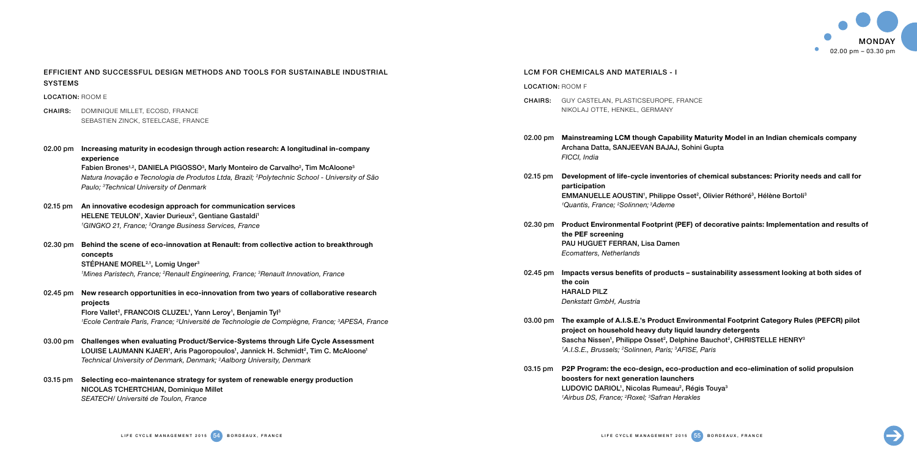## Efficient and successful design methods and tools for sustainable industrial systems

## Location: ROOM E

- Chairs: guy castelan, PlasticsEurope, France Nikolaj Otte, Henkel, Germany
- 02.00 pm Mainstreaming LCM though Capability Maturity Model in an Indian chemicals company Archana Datta, SANJEEVAN BAJAJ, Sohini Gupta FICCI, India
- participation EMMANUELLE AOUSTIN<sup>1</sup>, Philippe Osset<sup>2</sup>, Olivier Réthoré<sup>3</sup>, Hélène Bortoli<sup>3</sup> <sup>1</sup>Quantis, France; <sup>2</sup>Solinnen; <sup>3</sup>Ademe
- the PEF screening PAU HUGUET FERRAN, Lisa Damen Ecomatters, Netherlands
- 02.45 pm Impacts versus benefits of products sustainability assessment looking at both sides of the coin Harald Pilz Denkstatt GmbH, Austria
- project on household heavy duty liquid laundry detergents Sascha Nissen<sup>1</sup>, Philippe Osset<sup>2</sup>, Delphine Bauchot<sup>2</sup>, CHRISTELLE HENRY<sup>3</sup> <sup>1</sup>A.I.S.E., Brussels; <sup>2</sup>Solinnen, Paris; <sup>3</sup>AFISE, Paris
- boosters for next generation launchers LUDOVIC DARIOL<sup>1</sup>, Nicolas Rumeau<sup>2</sup>, Régis Touya<sup>3</sup> <sup>1</sup>Airbus DS, France; <sup>2</sup>Roxel; <sup>3</sup>Safran Herakles
- Chairs: Dominique MILLET, EcoSD, France Sebastien Zinck, Steelcase, France
- 02.00 pm Increasing maturity in ecodesign through action research: A longitudinal in-company experience Fabien Brones<sup>1,2</sup>, DANIELA PIGOSSO<sup>3</sup>, Marly Monteiro de Carvalho<sup>2</sup>, Tim McAloone<sup>3</sup> Natura Inovação e Tecnologia de Produtos Ltda, Brazil; 2 Polytechnic School - University of São Paulo; 3 Technical University of Denmark
- 02.15 pm An innovative ecodesign approach for communication services HELENE TEULON<sup>1</sup>, Xavier Durieux<sup>2</sup>, Gentiane Gastaldi<sup>1</sup> <sup>1</sup>GINGKO 21, France; <sup>2</sup>Orange Business Services, France
- 02.30 pm Behind the scene of eco-innovation at Renault: from collective action to breakthrough concepts STÉPHANE MOREL<sup>2,1</sup>, Lomig Unger<sup>3</sup> <sup>1</sup>Mines Paristech, France; <sup>2</sup>Renault Engineering, France; <sup>3</sup>Renault Innovation, France
- 02.45 pm New research opportunities in eco-innovation from two years of collaborative research projects Flore Vallet<sup>2</sup>, FRANCOIS CLUZEL<sup>1</sup>, Yann Leroy<sup>1</sup>, Benjamin Tyl<sup>3</sup> <sup>1</sup>Ecole Centrale Paris, France; <sup>2</sup>Université de Technologie de Compiègne, France; <sup>3</sup>APESA, France
- 03.00 pm Challenges when evaluating Product/Service-Systems through Life Cycle Assessment LOUISE LAUMANN KJAER<sup>1</sup>, Aris Pagoropoulos<sup>1</sup>, Jannick H. Schmidt<sup>2</sup>, Tim C. McAloone<sup>1</sup> Technical University of Denmark, Denmark; 2Aalborg University, Denmark
- 03.15 pm Selecting eco-maintenance strategy for system of renewable energy production Nicolas Tchertchian, Dominique Millet SEATECH/ Université de Toulon, France



## LCM for chemicals and materials - I

Location: ROOM F

02.15 pm Development of life-cycle inventories of chemical substances: Priority needs and call for

02.30 pm Product Environmental Footprint (PEF) of decorative paints: Implementation and results of

03.00 pm The example of A.I.S.E.'s Product Environmental Footprint Category Rules (PEFCR) pilot

03.15 pm P2P Program: the eco-design, eco-production and eco-elimination of solid propulsion

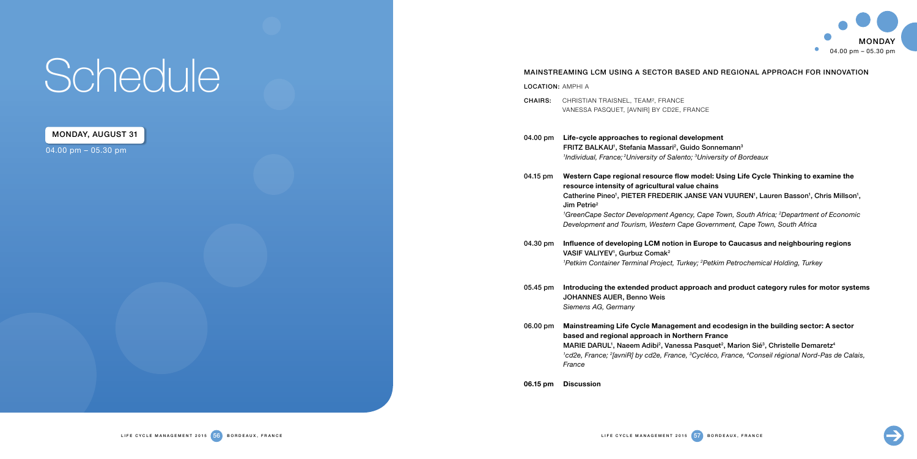

04.00 pm – 05.30 pm

# **Schedule**

MONDAY, AUGUST 31



## Mainstreaming LCM using a sector based and regional approach for innovation

LOCATION: AMPHI A

# 04.15 pm Western Cape regional resource flow model: Using Life Cycle Thinking to examine the Catherine Pineo<sup>1</sup>, PIETER FREDERIK JANSE VAN VUUREN<sup>1</sup>, Lauren Basson<sup>1</sup>, Chris Millson<sup>1</sup>,

<sup>1</sup>GreenCape Sector Development Agency, Cape Town, South Africa; <sup>2</sup>Department of Economic Development and Tourism, Western Cape Government, Cape Town, South Africa

## 05.45 pm Introducing the extended product approach and product category rules for motor systems

MARIE DARUL<sup>1</sup>, Naeem Adibi<sup>2</sup>, Vanessa Pasquet<sup>2</sup>, Marion Sié<sup>3</sup>, Christelle Demaretz<sup>4</sup> <sup>1</sup>cd2e, France; <sup>2</sup>[avniR] by cd2e, France, <sup>3</sup>Cycléco, France, <sup>4</sup>Conseil régional Nord-Pas de Calais,



- Chairs: christian traisnel, team², france Vanessa Pasquet, [avniR] by cd2e, France
- 04.00 pm Life-cycle approaches to regional development FRITZ BALKAU<sup>1</sup>, Stefania Massari<sup>2</sup>, Guido Sonnemann<sup>3</sup> <sup>1</sup>Individual, France; <sup>2</sup>University of Salento; <sup>3</sup>University of Bordeaux
- resource intensity of agricultural value chains Jim Petrie<sup>2</sup>
- 04.30 pm Influence of developing LCM notion in Europe to Caucasus and neighbouring regions VASIF VALIYEV<sup>1</sup>, Gurbuz Comak<sup>2</sup> <sup>1</sup>Petkim Container Terminal Project, Turkey; <sup>2</sup>Petkim Petrochemical Holding, Turkey
- JOHANNES AUER, Benno Weis Siemens AG, Germany
- 06.00 pm Mainstreaming Life Cycle Management and ecodesign in the building sector: A sector based and regional approach in Northern France France

06.15 pm Discussion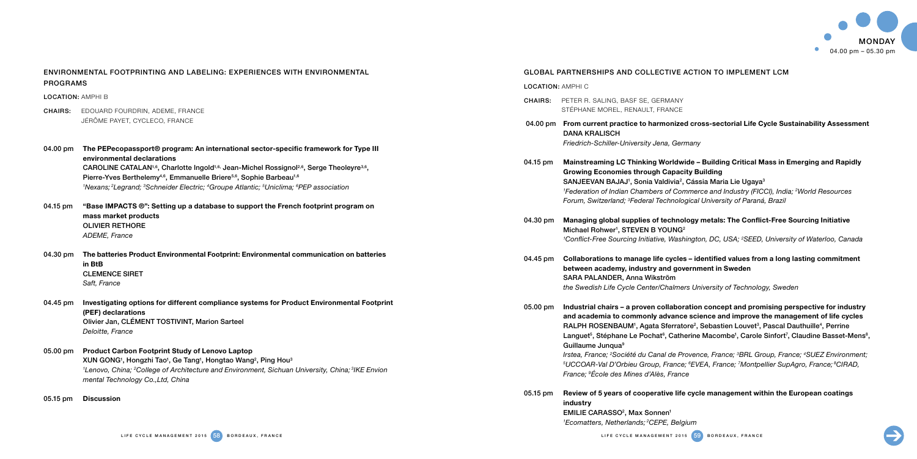CHAIRS: EDOUARD FOURDRIN, ADEME, FRANCE Jérôme PAYET, Cycleco, France

## Environmental footprinting and labeling: experiences with environmental programs

Location: AMPHI B

04.00 pm The PEPecopassport® program: An international sector-specific framework for Type III environmental declarations CAROLINE CATALAN<sup>1,6</sup>, Charlotte Ingold<sup>1,6,</sup> Jean-Michel Rossignol<sup>2,6</sup>, Serge Theoleyre<sup>3,6</sup>, Pierre-Yves Berthelemy<sup>4,6</sup>, Emmanuelle Briere<sup>5,6</sup>, Sophie Barbeau<sup>1,6</sup> 1 Nexans; 2Legrand; 3Schneider Electric; 4Groupe Atlantic; 5 Uniclima; 6PEP association

04.15 pm "Base IMPACTS ®": Setting up a database to support the French footprint program on mass market products Olivier RETHORE ADEME, France

- Chairs: Peter R. Saling, BASF SE, Germany Stéphane MOREL, RENAULT, France
- Dana Kralisch Friedrich-Schiller-University Jena, Germany
- Growing Economies through Capacity Building SANJEEVAN BAJAJ<sup>1</sup>, Sonia Valdivia<sup>2</sup>, Cássia Maria Lie Ugaya<sup>3</sup> Forum, Switzerland; 3Federal Technological University of Paraná, Brazil
- 04.30 pm Managing global supplies of technology metals: The Conflict-Free Sourcing Initiative Michael Rohwer<sup>1</sup>, STEVEN B YOUNG<sup>2</sup>
- between academy, industry and government in Sweden SARA PALANDER, Anna Wikström the Swedish Life Cycle Center/Chalmers University of Technology, Sweden
	- Guillaume Junqua<sup>9</sup> France; 9École des Mines d'Alès, France
- 05.15 pm Review of 5 years of cooperative life cycle management within the European coatings industry EMILIE CARASSO<sup>2</sup>, Max Sonnen<sup>1</sup> <sup>1</sup>Ecomatters, Netherlands; <sup>2</sup>CEPE, Belgium

04.30 pm The batteries Product Environmental Footprint: Environmental communication on batteries in BtB Clemence SIRET Saft, France

- 04.45 pm Investigating options for different compliance systems for Product Environmental Footprint (PEF) declarations Olivier Jan, Clément Tostivint, Marion Sarteel Deloitte, France
- 05.00 pm Product Carbon Footprint Study of Lenovo Laptop XUN GONG<sup>1</sup>, Hongzhi Tao<sup>1</sup>, Ge Tang<sup>1</sup>, Hongtao Wang<sup>2</sup>, Ping Hou<sup>3</sup> <sup>1</sup>Lenovo, China; <sup>2</sup>College of Architecture and Environment, Sichuan University, China; <sup>3</sup>IKE Envion mental Technology Co.,Ltd, China

05.00 pm Industrial chairs – a proven collaboration concept and promising perspective for industry and academia to commonly advance science and improve the management of life cycles RALPH ROSENBAUM<sup>1</sup>, Agata Sferratore<sup>2</sup>, Sebastien Louvet<sup>3</sup>, Pascal Dauthuille<sup>4</sup>, Perrine Languet<sup>s</sup>, Stéphane Le Pochat<sup>s</sup>, Catherine Macombe<sup>1</sup>, Carole Sinfort<sup>7</sup>, Claudine Basset-Mens<sup>8</sup>,

05.15 pm Discussion



Location: AMPHI C

Irstea, France; <sup>2</sup>Société du Canal de Provence, France; <sup>3</sup>BRL Group, France; <sup>4</sup>SUEZ Environment; 5 UCCOAR-Val D'Orbieu Group, France; 6EVEA, France; 7 Montpellier SupAgro, France; 8CIRAD,



## 04.00 pm From current practice to harmonized cross-sectorial Life Cycle Sustainability Assessment

# 04.15 pm Mainstreaming LC Thinking Worldwide – Building Critical Mass in Emerging and Rapidly

<sup>1</sup>Federation of Indian Chambers of Commerce and Industry (FICCI), India; <sup>2</sup>World Resources

<sup>1</sup>Conflict-Free Sourcing Initiative, Washington, DC, USA; <sup>2</sup>SEED, University of Waterloo, Canada

# 04.45 pm Collaborations to manage life cycles – identified values from a long lasting commitment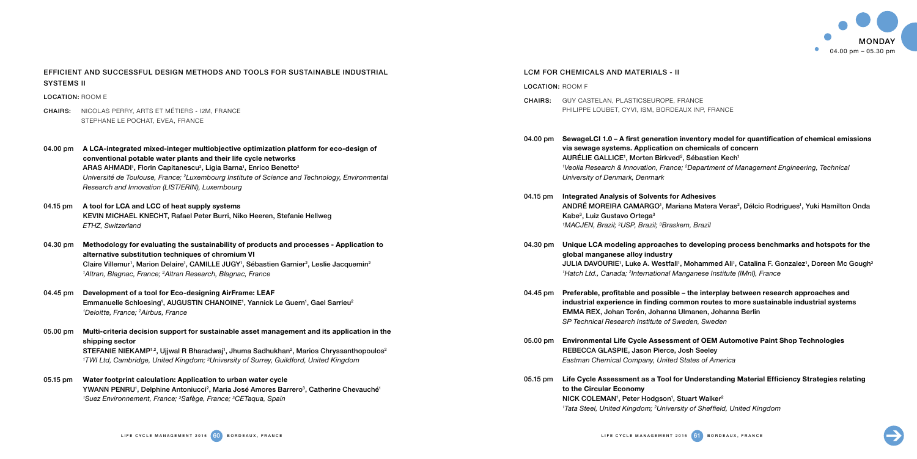- Chairs: Nicolas PERRY, Arts et Métiers I2M, France StEphane LE POCHAT, EVEA, France
- 04.00 pm A LCA-integrated mixed-integer multiobjective optimization platform for eco-design of conventional potable water plants and their life cycle networks ARAS AHMADI', Florin Capitanescu<sup>2</sup>, Ligia Barna', Enrico Benetto<sup>2</sup> Université de Toulouse, France; <sup>2</sup>Luxembourg Institute of Science and Technology, Environmental Research and Innovation (LIST/ERIN), Luxembourg
- 04.15 pm A tool for LCA and LCC of heat supply systems Kevin Michael Knecht, Rafael Peter Burri, Niko Heeren, Stefanie Hellweg ETHZ, Switzerland
- 04.30 pm Methodology for evaluating the sustainability of products and processes Application to alternative substitution techniques of chromium VI Claire Villemur<sup>1</sup>, Marion Delaire<sup>1</sup>, CAMILLE JUGY<sup>1</sup>, Sébastien Garnier<sup>2</sup>, Leslie Jacquemin<sup>2</sup> <sup>1</sup>Altran, Blagnac, France; <sup>2</sup>Altran Research, Blagnac, France
- 04.45 pm Development of a tool for Eco-designing AirFrame: LEAF Emmanuelle Schloesing<sup>1</sup>, AUGUSTIN CHANOINE<sup>1</sup>, Yannick Le Guern<sup>1</sup>, Gael Sarrieu<sup>2</sup> <sup>1</sup>Deloitte, France; <sup>2</sup>Airbus, France
- 05.00 pm Multi-criteria decision support for sustainable asset management and its application in the shipping sector  $\mathsf{STEFANIE~NIEKAMP^{1,2}},$  Ujjwal R Bharadwaj $^1$ , Jhuma Sadhukhan $^2$ , Marios Chryssanthopoulos $^2$ 1 TWI Ltd, Cambridge, United Kingdom; 2 University of Surrey, Guildford, United Kingdom
- 05.15 pm Water footprint calculation: Application to urban water cycle YWANN PENRU<sup>1</sup>, Delphine Antoniucci<sup>2</sup>, Maria José Amores Barrero<sup>3</sup>, Catherine Chevauché<sup>1</sup> <sup>1</sup>Suez Environnement, France; <sup>2</sup>Safège, France; <sup>3</sup>CETaqua, Spain

## Efficient and successful design methods and tools for sustainable industrial systems II

Location: ROOM E

- Chairs: guy castelan, PlasticsEurope, France Philippe Loubet, CyVi, ISM, Bordeaux INP, France
- via sewage systems. Application on chemicals of concern AURÉLIE GALLICE<sup>1</sup>, Morten Birkved<sup>2</sup>, Sébastien Kech<sup>1</sup> University of Denmark, Denmark
- 04.15 pm Integrated Analysis of Solvents for Adhesives Kabe<sup>3</sup>, Luiz Gustavo Ortega<sup>3</sup> <sup>1</sup>MACJEN, Brazil; <sup>2</sup>USP, Brazil; <sup>3</sup>Braskem, Brazil
- global manganese alloy industry <sup>1</sup>Hatch Ltd., Canada; <sup>2</sup>International Manganese Institute (IMnI), France
- 04.45 pm Preferable, profitable and possible the interplay between research approaches and Emma Rex, Johan Torén, Johanna Ulmanen, Johanna Berlin SP Technical Research Institute of Sweden, Sweden
- 05.00 pm Environmental Life Cycle Assessment of OEM Automotive Paint Shop Technologies Rebecca Glaspie, Jason Pierce, Josh Seeley Eastman Chemical Company, United States of America
- to the Circular Economy NICK COLEMAN<sup>1</sup>, Peter Hodgson<sup>1</sup>, Stuart Walker<sup>2</sup> <sup>1</sup>Tata Steel, United Kingdom; <sup>2</sup>University of Sheffield, United Kingdom



## LCM for chemicals and materials - II

Location: ROOM F

04.00 pm SewageLCI 1.0 – A first generation inventory model for quantification of chemical emissions 1 Veolia Research & Innovation, France; 2 Department of Management Engineering, Technical

# ANDRE MOREIRA CAMARGO<sup>1</sup>, Mariana Matera Veras<sup>2</sup>, Délcio Rodrigues<sup>1</sup>, Yuki Hamilton Onda

## 04.30 pm Unique LCA modeling approaches to developing process benchmarks and hotspots for the

JULIA DAVOURIE', Luke A. Westfall', Mohammed Ali', Catalina F. Gonzalez', Doreen Mc Gough<sup>2</sup>

industrial experience in finding common routes to more sustainable industrial systems

## 05.15 pm Life Cycle Assessment as a Tool for Understanding Material Efficiency Strategies relating

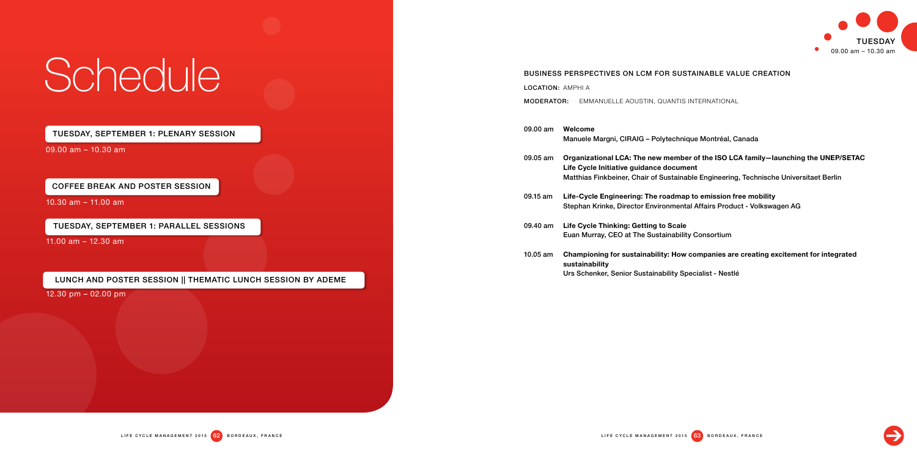09.00 am – 10.30 am

10.30 am – 11.00 am

11.00 am – 12.30 am

12.30 pm – 02.00 pm

TUESDAY, September 1: plenary session

Coffee break and poster session

LUNCH and poster session || Thematic lunch session by ADEME

## Business perspectives on LCM for sustainable value creation

LOCATION: AMPHI A

Moderator: Emmanuelle Aoustin, Quantis International



ue Montréal, Canada

of the ISO LCA family—launching the UNEP/SETAC ble Engineering, Technische Universitaet Berlin

to emission free mobility Refairs Product - Volkswagen AG

**Consortium** 

companies are creating excitement for integrated

| $09.00 \text{ am}$ | Welcome<br>Manuele Margni, CIRAIG - Polytechnique                                                                            |
|--------------------|------------------------------------------------------------------------------------------------------------------------------|
| 09.05 am           | Organizational LCA: The new member o<br>Life Cycle Initiative guidance document<br>Matthias Finkbeiner, Chair of Sustainable |
| 09.15 am           | Life-Cycle Engineering: The roadmap to<br>Stephan Krinke, Director Environmental A                                           |
| 09.40 am           | Life Cycle Thinking: Getting to Scale<br>Euan Murray, CEO at The Sustainability C                                            |
| 10.05 am           | Championing for sustainability: How co<br>sustainability                                                                     |



Urs Schenker, Senior Sustainability Specialist - Nestlé



TUESDAY, September 1: parallel sessions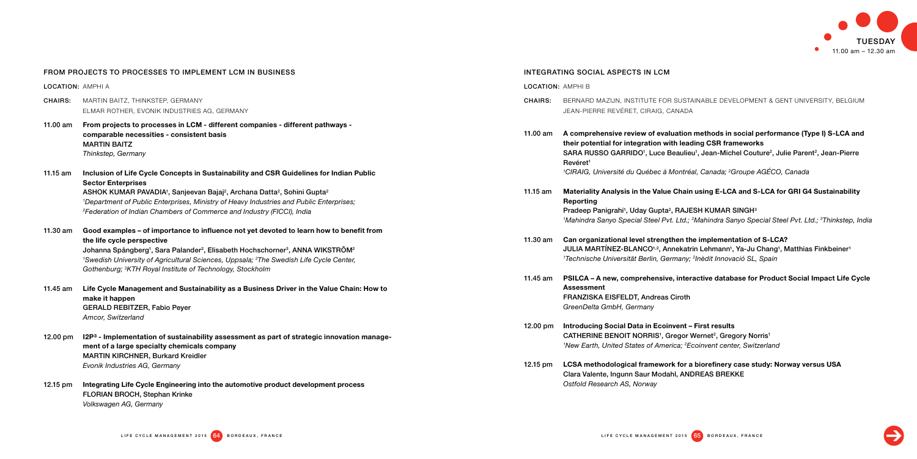| FROM PROJECTS TO PROCESSES TO IMPLEMENT LCM IN BUSINESS<br><b>LOCATION: AMPHI A</b> |                                                                                                                                                                                                                                                                                                                                                                                                                                                    |                    | INTEGRATING SOCIAL ASPECTS IN LCM<br><b>LOCATION: AMPHI B</b>                                                                                                                                                                                                                               |  |  |
|-------------------------------------------------------------------------------------|----------------------------------------------------------------------------------------------------------------------------------------------------------------------------------------------------------------------------------------------------------------------------------------------------------------------------------------------------------------------------------------------------------------------------------------------------|--------------------|---------------------------------------------------------------------------------------------------------------------------------------------------------------------------------------------------------------------------------------------------------------------------------------------|--|--|
|                                                                                     |                                                                                                                                                                                                                                                                                                                                                                                                                                                    |                    |                                                                                                                                                                                                                                                                                             |  |  |
| <b>CHAIRS:</b>                                                                      | MARTIN BAITZ, THINKSTEP, GERMANY<br>ELMAR ROTHER, EVONIK INDUSTRIES AG, GERMANY                                                                                                                                                                                                                                                                                                                                                                    | CHAIRS:            | BERNARD MAZIJN, INSTITUTE FOR SUSTAINABLE DEVELOPMENT & GENT UNIV<br>JEAN-PIERRE REVÉRET, CIRAIG, CANADA                                                                                                                                                                                    |  |  |
| 11.00 am                                                                            | From projects to processes in LCM - different companies - different pathways -<br>comparable necessities - consistent basis<br><b>MARTIN BAITZ</b><br>Thinkstep, Germany                                                                                                                                                                                                                                                                           | 11.00 am           | A comprehensive review of evaluation methods in social performance (T)<br>their potential for integration with leading CSR frameworks<br>SARA RUSSO GARRIDO <sup>1</sup> , Luce Beaulieu <sup>1</sup> , Jean-Michel Couture <sup>2</sup> , Julie Pare<br>Revéret <sup>1</sup>               |  |  |
| 11.15 am                                                                            | Inclusion of Life Cycle Concepts in Sustainability and CSR Guidelines for Indian Public<br><b>Sector Enterprises</b>                                                                                                                                                                                                                                                                                                                               |                    | <sup>1</sup> CIRAIG, Université du Québec à Montréal, Canada; <sup>2</sup> Groupe AGÉCO, Canada                                                                                                                                                                                             |  |  |
|                                                                                     | ASHOK KUMAR PAVADIA <sup>1</sup> , Sanjeevan Bajaj <sup>2</sup> , Archana Datta <sup>2</sup> , Sohini Gupta <sup>2</sup><br><sup>1</sup> Department of Public Enterprises, Ministry of Heavy Industries and Public Enterprises;<br><sup>2</sup> Federation of Indian Chambers of Commerce and Industry (FICCI), India                                                                                                                              | 11.15 am           | Materiality Analysis in the Value Chain using E-LCA and S-LCA for GRI G<br>Reporting<br>Pradeep Panigrahi <sup>1</sup> , Uday Gupta <sup>2</sup> , RAJESH KUMAR SINGH <sup>3</sup><br><sup>1</sup> Mahindra Sanyo Special Steel Pvt. Ltd.; <sup>2</sup> Mahindra Sanyo Special Steel Pvt. L |  |  |
| 11.30 am                                                                            | Good examples - of importance to influence not yet devoted to learn how to benefit from<br>the life cycle perspective<br>Johanna Spångberg <sup>1</sup> , Sara Palander <sup>2</sup> , Elisabeth Hochschorner <sup>3</sup> , ANNA WIKSTRÖM <sup>2</sup><br><sup>1</sup> Swedish University of Agricultural Sciences, Uppsala; <sup>2</sup> The Swedish Life Cycle Center,<br>Gothenburg; <sup>3</sup> KTH Royal Institute of Technology, Stockholm | 11.30 $\text{am}$  | Can organizational level strengthen the implementation of S-LCA?<br>JULIA MARTÍNEZ-BLANCO <sup>1,2</sup> , Annekatrin Lehmann <sup>1</sup> , Ya-Ju Chang <sup>1</sup> , Matthia<br><sup>1</sup> Technische Universität Berlin, Germany; <sup>2</sup> Inèdit Innovació SL, Spain             |  |  |
| 11.45 am                                                                            | Life Cycle Management and Sustainability as a Business Driver in the Value Chain: How to<br>make it happen<br><b>GERALD REBITZER, Fabio Peyer</b><br>Amcor, Switzerland                                                                                                                                                                                                                                                                            | $11.45$ am         | PSILCA - A new, comprehensive, interactive database for Product Social<br><b>Assessment</b><br>FRANZISKA EISFELDT, Andreas Ciroth<br>GreenDelta GmbH, Germany                                                                                                                               |  |  |
| 12.00 pm                                                                            | 12P <sup>3</sup> - Implementation of sustainability assessment as part of strategic innovation manage-<br>ment of a large specialty chemicals company<br><b>MARTIN KIRCHNER, Burkard Kreidler</b>                                                                                                                                                                                                                                                  | 12.00 $pm$         | Introducing Social Data in Ecoinvent - First results<br>CATHERINE BENOIT NORRIS <sup>1</sup> , Gregor Wernet <sup>2</sup> , Gregory Norris <sup>1</sup><br><sup>1</sup> New Earth, United States of America; <sup>2</sup> Ecoinvent center, Switzerland                                     |  |  |
| $12.15 \text{ pm}$                                                                  | Evonik Industries AG, Germany<br>Integrating Life Cycle Engineering into the automotive product development process<br>FLORIAN BROCH, Stephan Krinke<br>Volkswagen AG, Germany                                                                                                                                                                                                                                                                     | $12.15 \text{ pm}$ | LCSA methodological framework for a biorefinery case study: Norway ve<br>Clara Valente, Ingunn Saur Modahl, ANDREAS BREKKE<br>Ostfold Research AS, Norway                                                                                                                                   |  |  |



## VABLE DEVELOPMENT & GENT UNIVERSITY, BELGIUM

nethods in social performance (Type I) S-LCA and ng CSR frameworks , Jean-Michel Couture<sup>2</sup>, Julie Parent<sup>2</sup>, Jean-Pierre

## 11.15 using E-LCA and S-LCA for GRI G4 Sustainability

 $SH$  KUMAR SINGH $^3$ Mahindra Sanyo Special Steel Pvt. Ltd.; <sup>3</sup>Thinkstep, India

implementation of S-LCA? JULIA MARTINEZ-BLANCO<sup>1,2</sup>, Annekatrin Lehmann<sup>1</sup>, Ya-Ju Chang<sup>1</sup>, Matthias Finkbeiner<sup>1</sup> nèdit Innovació SL, Spain

## tive database for Product Social Impact Life Cycle

biorefinery case study: Norway versus USA REAS BREKKE

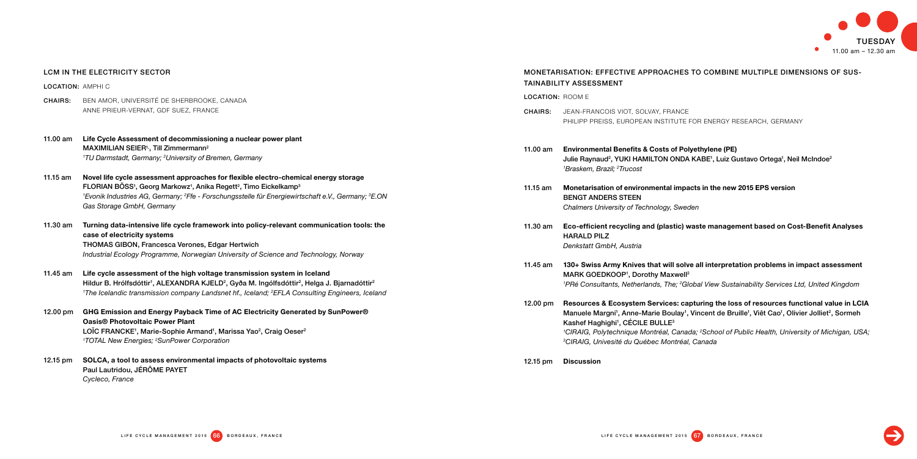## LCM in the electricity sector

LOCATION: AMPHI C

## 11.00 am Life Cycle Assessment of decommissioning a nuclear power plant MAXIMILIAN SEIER<sup>1,</sup>, Till Zimmermann<sup>2</sup> <sup>1</sup>TU Darmstadt, Germany; <sup>2</sup>University of Bremen, Germany

CHAIRS: Ben Amor, Université de Sherbrooke, Canada Anne PRIEUR-VERNAT, GDF SUEZ, France

- 11.15 am Novel life cycle assessment approaches for flexible electro-chemical energy storage <code>FLORIAN</code> BOSS<sup>1</sup>, Georg Markowz<sup>1</sup>, Anika Regett $^2$ , Timo Eickelkamp $^3$ 1 Evonik Industries AG, Germany; 2 Ffe - Forschungsstelle für Energiewirtschaft e.V., Germany; 3 E.ON Gas Storage GmbH, Germany
- 11.30 am Turning data-intensive life cycle framework into policy-relevant communication tools: the case of electricity systems Thomas Gibon, Francesca Verones, Edgar Hertwich Industrial Ecology Programme, Norwegian University of Science and Technology, Norway
- 11.45 am Life cycle assessment of the high voltage transmission system in Iceland Hildur B. Hrólfsdóttir<sup>1</sup>, ALEXANDRA KJELD<sup>2</sup>, Gyða M. Ingólfsdóttir<sup>2</sup>, Helga J. Bjarnadóttir<sup>2</sup> 1 The Icelandic transmission company Landsnet hf., Iceland; 2 EFLA Consulting Engineers, Iceland
- 12.00 pm GHG Emission and Energy Payback Time of AC Electricity Generated by SunPower® Oasis® Photovoltaic Power Plant LOÏC FRANCKE1, Marie-Sophie Armand1, Marissa Yao<sup>2</sup>, Craig Oeser<sup>2</sup> <sup>1</sup>TOTAL New Energies; <sup>2</sup>SunPower Corporation
- 12.15 pm SOLCA, a tool to assess environmental impacts of photovoltaic systems Paul Lautridou, JÉRÔME PAYET Cycleco, France

12.00 pm Resources & Ecosystem Services: capturing the loss of resources functional value in LCIA Manuele Margni<sup>1</sup>, Anne-Marie Boulay<sup>1</sup>, Vincent de Bruille<sup>1</sup>, Viêt Cao<sup>1</sup>, Olivier Jolliet<sup>2</sup>, Sormeh

<sup>1</sup>CIRAIG, Polytechnique Montréal, Canada; <sup>2</sup>School of Public Health, University of Michigan, USA;





Julie Raynaud<sup>2</sup>, YUKI HAMILTON ONDA KABE', Luiz Gustavo Ortega<sup>1</sup>, Neil McIndoe<sup>2</sup>

## Monetarisation: effective approaches to combine multiple dimensions of sustainability assessment

Location: ROOM E

11.30 am Eco-efficient recycling and (plastic) waste management based on Cost-Benefit Analyses

- CHAIRS: Jean-Francois VIOT, SOLVAY, France Philipp Preiss, European Institute for Energy Research, Germany
- 11.00 am Environmental Benefits & Costs of Polyethylene (PE) <sup>1</sup>Braskem, Brazil; <sup>2</sup>Trucost
- 11.15 am Monetarisation of environmental impacts in the new 2015 EPS version Bengt Anders Steen Chalmers University of Technology, Sweden
	- Harald Pilz Denkstatt GmbH, Austria
- MARK GOEDKOOP<sup>1</sup>, Dorothy Maxwell<sup>2</sup>
- Kashef Haghighi<sup>1</sup>, CÉCILE BULLE<sup>3</sup> 3CIRAIG, Univesité du Québec Montréal, Canada

## 11.45 am 130+ Swiss Army Knives that will solve all interpretation problems in impact assessment

<sup>1</sup>PRé Consultants, Netherlands, The; <sup>2</sup>Global View Sustainability Services Ltd, United Kingdom

12.15 pm Discussion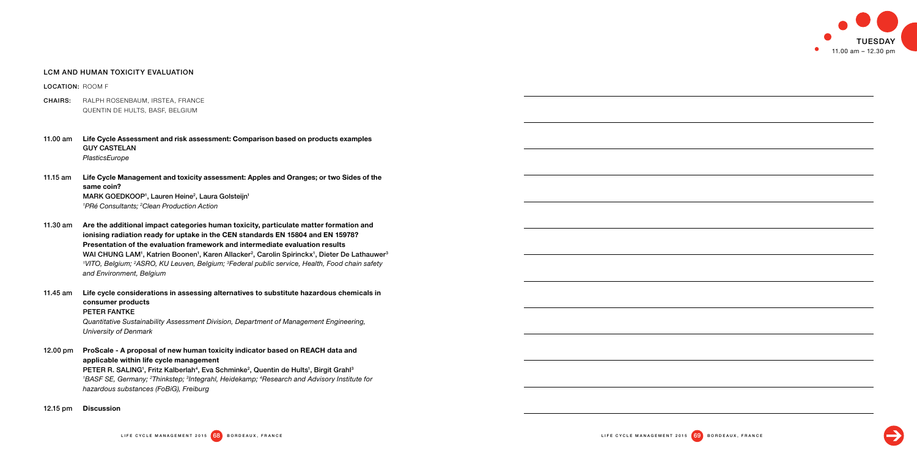## LCM and human toxicity evaluation

Location: ROOM F

11.15 am Life Cycle Management and toxicity assessment: Apples and Oranges; or two Sides of the same coin? MARK GOEDKOOP1, Lauren Heine<sup>2</sup>, Laura Golsteijn<sup>1</sup> <sup>1</sup>PRé Consultants; <sup>2</sup>Clean Production Action

- CHAIRS: Ralph Rosenbaum, Irstea, France Quentin de Hults, BASF, Belgium
- 11.00 am Life Cycle Assessment and risk assessment: Comparison based on products examples Guy Castelan PlasticsEurope

- 11.30 am Are the additional impact categories human toxicity, particulate matter formation and ionising radiation ready for uptake in the CEN standards EN 15804 and EN 15978? Presentation of the evaluation framework and intermediate evaluation results WAI CHUNG LAM', Katrien Boonen', Karen Allacker<sup>2</sup>, Carolin Spirinckx', Dieter De Lathauwer<sup>3</sup> <sup>1</sup>VITO, Belgium; <sup>2</sup>ASRO, KU Leuven, Belgium; <sup>3</sup>Federal public service, Health, Food chain safety and Environment, Belgium
- 11.45 am Life cycle considerations in assessing alternatives to substitute hazardous chemicals in consumer products Peter Fantke Quantitative Sustainability Assessment Division, Department of Management Engineering,

University of Denmark

12.00 pm ProScale - A proposal of new human toxicity indicator based on REACH data and applicable within life cycle management PETER R. SALING<sup>1</sup>, Fritz Kalberlah<sup>4</sup>, Eva Schminke<sup>2</sup>, Quentin de Hults<sup>1</sup>, Birgit Grahl<sup>3</sup> <sup>1</sup>BASF SE, Germany; <sup>2</sup>Thinkstep; <sup>3</sup>Integrahl, Heidekamp; <sup>4</sup>Research and Advisory Institute for hazardous substances (FoBiG), Freiburg

12.15 pm Discussion



|  |  | $\sim$ 100 $\mu$ |
|--|--|------------------|
|  |  |                  |
|  |  |                  |
|  |  |                  |
|  |  |                  |
|  |  |                  |
|  |  |                  |
|  |  |                  |
|  |  |                  |
|  |  |                  |
|  |  |                  |
|  |  |                  |
|  |  |                  |

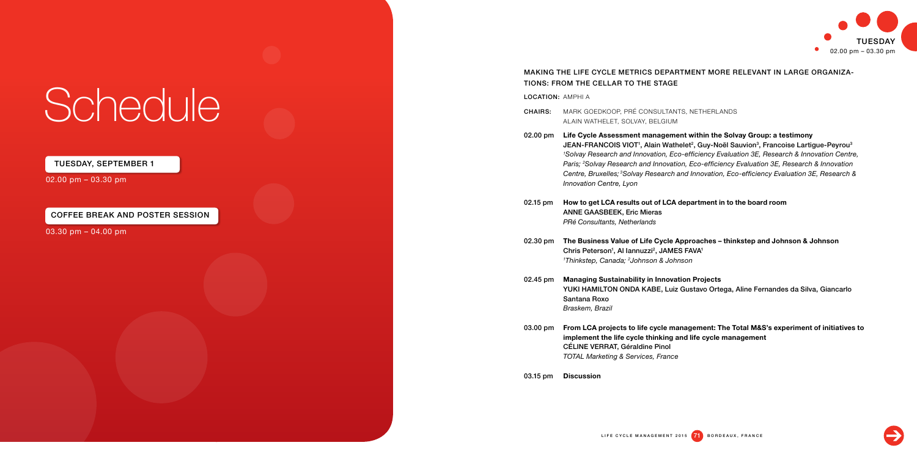02.00 pm – 03.30 pm

03.30 pm – 04.00 pm

## TUESDAY, september 1

## COFFEE break and poster session



## Making the life cycle metrics department more relevant in large organizations: from the Cellar to the Stage

Location: AMPHI A

JEAN-FRANCOIS VIOT<sup>1</sup>, Alain Wathelet<sup>2</sup>, Guy-Noël Sauvion<sup>3</sup>, Francoise Lartigue-Peyrou<sup>3</sup> 1 Solvay Research and Innovation, Eco-efficiency Evaluation 3E, Research & Innovation Centre, Paris; 2 Solvay Research and Innovation, Eco-efficiency Evaluation 3E, Research & Innovation Centre, Bruxelles; 3Solvay Research and Innovation, Eco-efficiency Evaluation 3E, Research &

- CHAIRS: Mark Goedkoop, PRé Consultants, Netherlands Alain Wathelet, Solvay, Belgium
- 02.00 pm Life Cycle Assessment management within the Solvay Group: a testimony Innovation Centre, Lyon
- 02.15 pm How to get LCA results out of LCA department in to the board room Anne Gaasbeek, Eric Mieras PRé Consultants, Netherlands
- 02.30 pm The Business Value of Life Cycle Approaches thinkstep and Johnson & Johnson Chris Peterson<sup>1</sup>, Al Iannuzzi<sup>2</sup>, JAMES FAVA<sup>1</sup> <sup>1</sup>Thinkstep, Canada; <sup>2</sup>Johnson & Johnson
- 02.45 pm Managing Sustainability in Innovation Projects Santana Roxo Braskem, Brazil
- implement the life cycle thinking and life cycle management Céline VERRAT, Géraldine Pinol TOTAL Marketing & Services, France
- 03.15 pm Discussion

Yuki Hamilton Onda Kabe, Luiz Gustavo Ortega, Aline Fernandes da Silva, Giancarlo

03.00 pm From LCA projects to life cycle management: The Total M&S's experiment of initiatives to

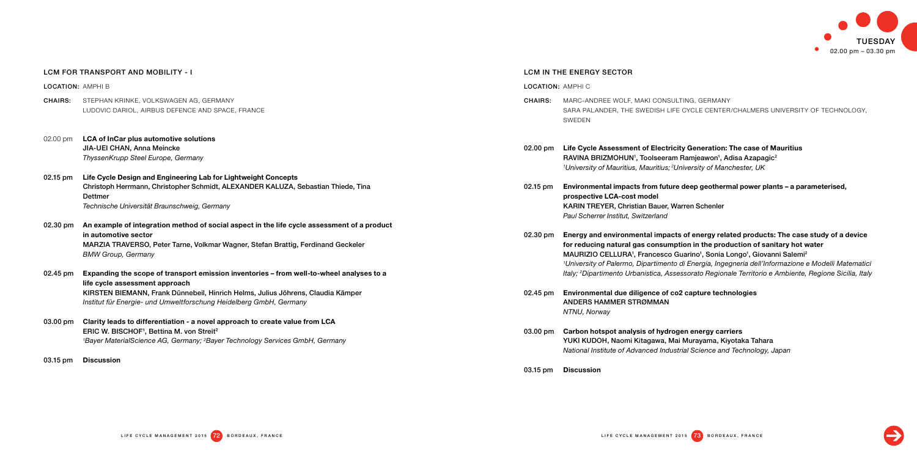- CHAIRS: Stephan Krinke, Volkswagen AG, Germany Ludovic Dariol, Airbus Defence and Space, France
- 02.00 pm LCA of InCar plus automotive solutions Jia-Uei Chan, Anna Meincke ThyssenKrupp Steel Europe, Germany
- 02.15 pm Life Cycle Design and Engineering Lab for Lightweight Concepts Christoph Herrmann, Christopher Schmidt, Alexander Kaluza, Sebastian Thiede, Tina Dettmer Technische Universität Braunschweig, Germany
- 02.30 pm An example of integration method of social aspect in the life cycle assessment of a product in automotive sector MARZIA TRAVERSO, Peter Tarne, Volkmar Wagner, Stefan Brattig, Ferdinand Geckeler BMW Group, Germany
- 02.45 pm Expanding the scope of transport emission inventories from well-to-wheel analyses to a life cycle assessment approach Kirsten Biemann, Frank Dünnebeil, Hinrich Helms, Julius Jöhrens, Claudia Kämper Institut für Energie- und Umweltforschung Heidelberg GmbH, Germany
- 03.00 pm Clarity leads to differentiation a novel approach to create value from LCA ERIC W. BISCHOF<sup>1</sup>, Bettina M. von Streit<sup>2</sup> <sup>1</sup>Bayer MaterialScience AG, Germany; <sup>2</sup>Bayer Technology Services GmbH, Germany

## LCM for transport and mobility - I

Location: AMPHI B

03.15 pm Discussion



|  |  |  |  | LCM IN THE ENERGY SECTOR |  |
|--|--|--|--|--------------------------|--|
|--|--|--|--|--------------------------|--|

LOCATION: AMPHI C

Sara Palander, the Swedish Life Cycle Center/Chalmers University of Technology,

- CHAIRS: Marc-Andree Wolf, maki Consulting, Germany **SWEDEN**
- 02.00 pm Life Cycle Assessment of Electricity Generation: The case of Mauritius RAVINA BRIZMOHUN<sup>1</sup>, Toolseeram Ramjeawon<sup>1</sup>, Adisa Azapagic<sup>2</sup> <sup>1</sup>University of Mauritius, Mauritius; <sup>2</sup>University of Manchester, UK
- 02.15 pm Environmental impacts from future deep geothermal power plants a parameterised, prospective LCA-cost model KARIN TREYER, Christian Bauer, Warren Schenler Paul Scherrer Institut, Switzerland
- MAURIZIO CELLURA<sup>1</sup>, Francesco Guarino<sup>1</sup>, Sonia Longo<sup>1</sup>, Giovanni Salemi<sup>2</sup> Italy; 2 Dipartimento Urbanistica, Assessorato Regionale Territorio e Ambiente, Regione Sicilia, Italy
- 02.45 pm Environmental due diligence of co2 capture technologies Anders Hammer Strømman NTNU, Norway
- 03.00 pm Carbon hotspot analysis of hydrogen energy carriers YUKI KUDOH, Naomi Kitagawa, Mai Murayama, Kiyotaka Tahara National Institute of Advanced Industrial Science and Technology, Japan
- 03.15 pm Discussion

02.30 pm Energy and environmental impacts of energy related products: The case study of a device for reducing natural gas consumption in the production of sanitary hot water 1 University of Palermo, Dipartimento di Energia, Ingegneria dell'Informazione e Modelli Matematici

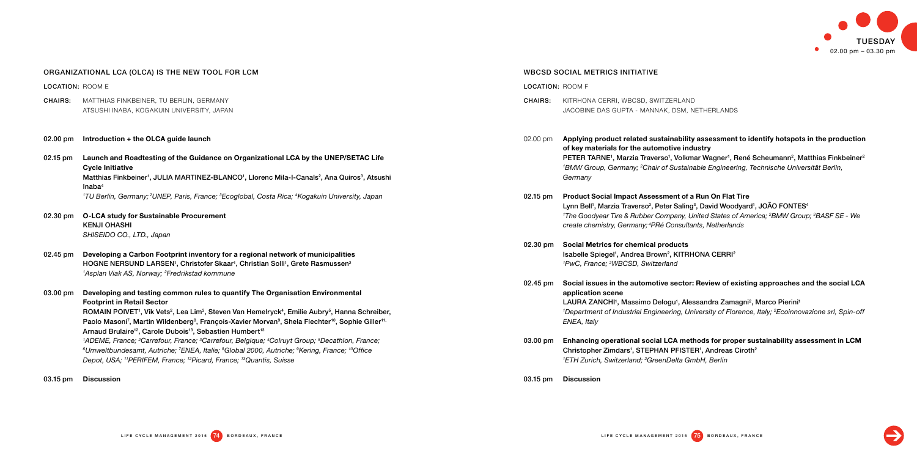ssandra Zamagni<sup>2</sup>, Marco Pierini<sup>1</sup> Department of Industrial Engineering, University of Florence, Italy; 2 Ecoinnovazione srl, Spin-off

> thods for proper sustainability assessment in LCM , STEPHAN PFISTER<sup>1</sup>, Andreas Ciroth<sup>2</sup> mbH, Berlin



03.15 pm Discussion

|                         | ORGANIZATIONAL LCA (OLCA) IS THE NEW TOOL FOR LCM                                                                                                                                                                                                                                                                                                                                                                                                                                                                                                      |                         | <b>WBCSD SOCIAL METRICS INITIATIVE</b>                                                                                                                                                                 |
|-------------------------|--------------------------------------------------------------------------------------------------------------------------------------------------------------------------------------------------------------------------------------------------------------------------------------------------------------------------------------------------------------------------------------------------------------------------------------------------------------------------------------------------------------------------------------------------------|-------------------------|--------------------------------------------------------------------------------------------------------------------------------------------------------------------------------------------------------|
| <b>LOCATION: ROOM E</b> |                                                                                                                                                                                                                                                                                                                                                                                                                                                                                                                                                        | <b>LOCATION: ROOM F</b> |                                                                                                                                                                                                        |
| <b>CHAIRS:</b>          | MATTHIAS FINKBEINER, TU BERLIN, GERMANY<br>ATSUSHI INABA, KOGAKUIN UNIVERSITY, JAPAN                                                                                                                                                                                                                                                                                                                                                                                                                                                                   | <b>CHAIRS:</b>          | KITRHONA CERRI, WBCSD, SWITZERLAND<br>JACOBINE DAS GUPTA - MANNAK, DSM, N                                                                                                                              |
| 02.00 pm                | Introduction + the OLCA guide launch                                                                                                                                                                                                                                                                                                                                                                                                                                                                                                                   | 02.00 pm                | Applying product related sustainability<br>of key materials for the automotive ind                                                                                                                     |
| $02.15 \text{ pm}$      | Launch and Roadtesting of the Guidance on Organizational LCA by the UNEP/SETAC Life<br><b>Cycle Initiative</b>                                                                                                                                                                                                                                                                                                                                                                                                                                         |                         | PETER TARNE <sup>1</sup> , Marzia Traverso <sup>1</sup> , Volkm<br><sup>1</sup> BMW Group, Germany; <sup>2</sup> Chair of Sustaina                                                                     |
|                         | Matthias Finkbeiner <sup>1</sup> , JULIA MARTINEZ-BLANCO <sup>1</sup> , Llorenc Mila-I-Canals <sup>2</sup> , Ana Quiros <sup>3</sup> , Atsushi<br>Inaba $4$                                                                                                                                                                                                                                                                                                                                                                                            |                         | Germany                                                                                                                                                                                                |
|                         | <sup>1</sup> TU Berlin, Germany; <sup>2</sup> UNEP, Paris, France; <sup>3</sup> Ecoglobal, Costa Rica; <sup>4</sup> Kogakuin University, Japan                                                                                                                                                                                                                                                                                                                                                                                                         | $02.15 \,\mathrm{pm}$   | <b>Product Social Impact Assessment of a</b><br>Lynn Bell <sup>1</sup> , Marzia Traverso <sup>2</sup> , Peter Saling                                                                                   |
| 02.30 pm                | <b>O-LCA study for Sustainable Procurement</b><br><b>KENJI OHASHI</b><br>SHISEIDO CO., LTD., Japan                                                                                                                                                                                                                                                                                                                                                                                                                                                     |                         | <sup>1</sup> The Goodyear Tire & Rubber Company, U<br>create chemistry, Germany; <sup>4</sup> PRé Consultai                                                                                            |
| $02.45 \,\mathrm{pm}$   | Developing a Carbon Footprint inventory for a regional network of municipalities<br>HOGNE NERSUND LARSEN <sup>1</sup> , Christofer Skaar <sup>1</sup> , Christian Solli <sup>1</sup> , Grete Rasmussen <sup>2</sup><br><sup>1</sup> Asplan Viak AS, Norway; <sup>2</sup> Fredrikstad kommune                                                                                                                                                                                                                                                           | $02.30 \,\mathrm{pm}$   | Social Metrics for chemical products<br>Isabelle Spiegel <sup>1</sup> , Andrea Brown <sup>2</sup> , KITRH<br><sup>1</sup> PwC, France; <sup>2</sup> WBCSD, Switzerland                                 |
| 03.00 pm                | Developing and testing common rules to quantify The Organisation Environmental<br><b>Footprint in Retail Sector</b><br>ROMAIN POIVET <sup>1</sup> , Vik Vets <sup>2</sup> , Lea Lim <sup>3</sup> , Steven Van Hemelryck <sup>4</sup> , Emilie Aubry <sup>5</sup> , Hanna Schreiber,<br>Paolo Masoni <sup>7</sup> , Martin Wildenberg <sup>8</sup> , François-Xavier Morvan <sup>9</sup> , Shela Flechter <sup>10</sup> , Sophie Giller <sup>11,</sup><br>Arnaud Brulaire <sup>12</sup> , Carole Dubois <sup>13</sup> , Sebastien Humbert <sup>13</sup> | $02.45 \,\mathrm{pm}$   | Social issues in the automotive sector:<br>application scene<br>LAURA ZANCHI <sup>1</sup> , Massimo Delogu <sup>1</sup> , Ales<br><sup>1</sup> Department of Industrial Engineering, Un<br>ENEA, Italy |
|                         | <sup>1</sup> ADEME, France; <sup>2</sup> Carrefour, France; <sup>3</sup> Carrefour, Belgique; <sup>4</sup> Colruyt Group; <sup>5</sup> Decathlon, France;<br><sup>6</sup> Umweltbundesamt, Autriche; <sup>7</sup> ENEA, Italie; <sup>8</sup> Global 2000, Autriche; <sup>9</sup> Kering, France; <sup>10</sup> Office<br>Depot, USA; <sup>11</sup> PERIFEM, France; <sup>12</sup> Picard, France; <sup>13</sup> Quantis, Suisse                                                                                                                        | $03.00 \text{ pm}$      | <b>Enhancing operational social LCA metl</b><br>Christopher Zimdars <sup>1</sup> , STEPHAN PFISTE<br><sup>1</sup> ETH Zurich, Switzerland; <sup>2</sup> GreenDelta Gn                                  |
| $03.15$ pm              | <b>Discussion</b>                                                                                                                                                                                                                                                                                                                                                                                                                                                                                                                                      | $03.15$ pm              | <b>Discussion</b>                                                                                                                                                                                      |



NETHERLANDS

**y assessment to identify hotspots in the production** lustry , Volkmar Wagner<sup>1</sup>, René Scheumann<sup>2</sup>, Matthias Finkbeiner<sup>2</sup> able Engineering, Technische Universität Berlin,

a Run On Flat Tire , Marzia Traverso<sup>2</sup>, Peter Saling<sup>3</sup>, David Woodyard<sup>1</sup>, JOAO FONTES<sup>4</sup> The Goodyear Tire & Rubber Company, United States of America; <sup>2</sup>BMW Group; <sup>3</sup>BASF SE - We ants, Netherlands

HONA CERRI<sup>2</sup>

## : Review of existing approaches and the social LCA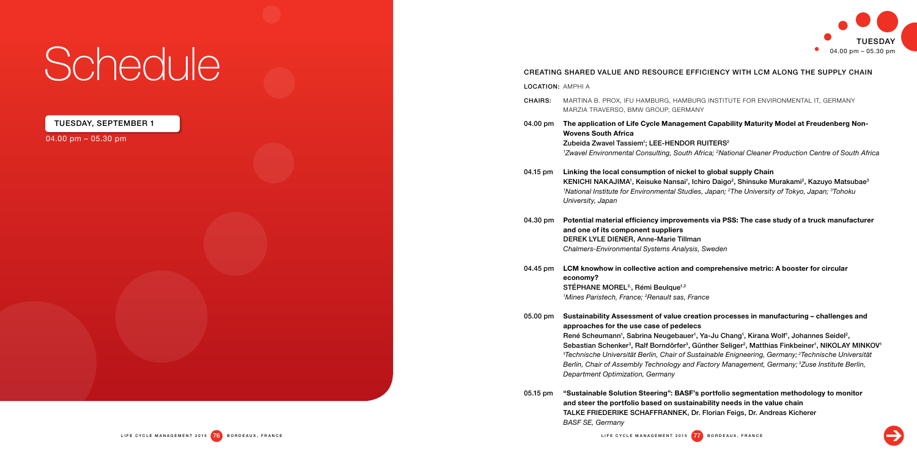04.00 pm – 05.30 pm



BURG INSTITUTE FOR ENVIRONMENTAL IT, GERMANY

04.00 pm The application of Life Cycle Management Capability Maturity Model at Freudenberg Non-

<sup>1</sup>Zwavel Environmental Consulting, South Africa; <sup>2</sup>National Cleaner Production Centre of South Africa

KENICHI NAKAJIMA<sup>1</sup>, Keisuke Nansai<sup>1</sup>, Ichiro Daigo<sup>2</sup>, Shinsuke Murakami<sup>2</sup>, Kazuyo Matsubae<sup>3</sup> <sup>1</sup>National Institute for Environmental Studies, Japan; <sup>2</sup>The University of Tokyo, Japan; <sup>3</sup>Tohoku

## TUESDAY, september 1

## Creating shared value and resource efficiency with LCM along the supply chain

LOCATION: AMPHI A

| CHAIRS: | MARTINA B. PROX. IFU HAMBURG. HAMBURG |
|---------|---------------------------------------|
|         | MARZIA TRAVERSO, BMW GROUP, GERMANY   |

## 04.30 pm Potential material efficiency improvements via PSS: The case study of a truck manufacturer

- Wovens South Africa Zubeida Zwavel Tassiem<sup>1</sup>; LEE-HENDOR RUITERS<sup>2</sup>
- 04.15 pm Linking the local consumption of nickel to global supply Chain University, Japan
- and one of its component suppliers DEREK LYLE DIENER, Anne-Marie Tillman Chalmers-Environmental Systems Analysis, Sweden
- 04.45 pm LCM knowhow in collective action and comprehensive metric: A booster for circular economy? STÉPHANE MOREL<sup>2,</sup>, Rémi Beulque<sup>1,2</sup> <sup>1</sup>Mines Paristech, France; <sup>2</sup>Renault sas, France
	- approaches for the use case of pedelecs Department Optimization, Germany
- and steer the portfolio based on sustainability needs in the value chain Talke Friederike Schaffrannek, Dr. Florian Feigs, Dr. Andreas Kicherer BASF SE, Germany



# 05.00 pm Sustainability Assessment of value creation processes in manufacturing – challenges and

René Scheumann<sup>1</sup>, Sabrina Neugebauer<sup>1</sup>, Ya-Ju Chang<sup>1</sup>, Kirana Wolf<sup>1</sup>, Johannes Seidel<sup>2</sup>, Sebastian Schenker<sup>3</sup>, Ralf Borndörfer<sup>3</sup>, Günther Seliger<sup>2</sup>, Matthias Finkbeiner<sup>1</sup>, NIKOLAY MINKOV<sup>1</sup> <sup>1</sup>Technische Universität Berlin, Chair of Sustainable Enigneering, Germany; <sup>2</sup>Technische Universität Berlin, Chair of Assembly Technology and Factory Management, Germany; <sup>3</sup>Zuse Institute Berlin,

05.15 pm "Sustainable Solution Steering": BASF's portfolio segmentation methodology to monitor

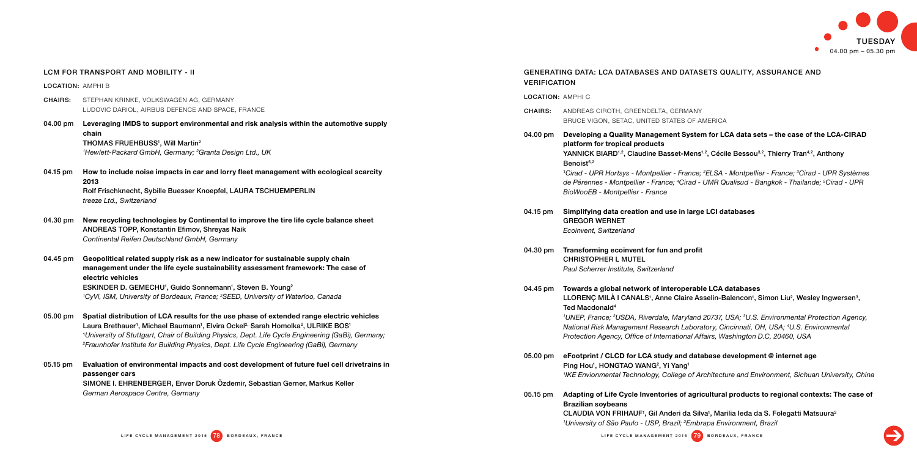## Generating data: LCA databases and datasets quality, assurance and

# **VERIFICATION** LOCATION: AMPHI C CHAIRS: Andreas Ciroth, GreenDelta, Germany Bruce Vigon, SETAC, United States of America 04.00 pm Developing a Quality Management System for LCA data sets – the case of the LCA-CIRAD platform for tropical products YANNICK BIARD<sup>1,2</sup>, Claudine Basset-Mens<sup>1,2</sup>, Cécile Bessou<sup>3,2</sup>, Thierry Tran<sup>4,2</sup>, Anthony  $B$ enoist $5,2$ <sup>1</sup>Cirad - UPR Hortsys - Montpellier - France; <sup>2</sup>ELSA - Montpellier - France; <sup>3</sup>Cirad - UPR Systèmes de Pérennes - Montpellier - France; <sup>4</sup>Cirad - UMR Qualisud - Bangkok - Thailande; <sup>s</sup>Cirad - UPR BioWooEB - Montpellier - France 04.15 pm Simplifying data creation and use in large LCI databases Gregor Wernet Ecoinvent, Switzerland 04.30 pm Transforming ecoinvent for fun and profit CHRISTOPHER L MUTEL Paul Scherrer Institute, Switzerland 04.45 pm Towards a global network of interoperable LCA databases LLORENÇ MILA I CANALS<sup>1</sup>, Anne Claire Asselin-Balencon<sup>1</sup>, Simon Liu<sup>2</sup>, Wesley Ingwersen<sup>3</sup>, Ted Macdonald<sup>4</sup> <sup>1</sup>UNEP, France; <sup>2</sup>USDA, Riverdale, Maryland 20737, USA; <sup>3</sup>U.S. Environmental Protection Agency, National Risk Management Research Laboratory, Cincinnati, OH, USA; 4 U.S. Environmental Protection Agency, Office of International Affairs, Washington D.C, 20460, USA

- 05.00 pm eFootprint / CLCD for LCA study and database development @ internet age Ping Hou<sup>1</sup>, HONGTAO WANG<sup>2</sup>, Yi Yang<sup>1</sup>
	- Brazilian soybeans <sup>1</sup>University of São Paulo - USP, Brazil; <sup>2</sup>Embrapa Environment, Brazil



1 IKE Envionmental Technology, College of Architecture and Environment, Sichuan University, China

## 05.15 pm Adapting of Life Cycle Inventories of agricultural products to regional contexts: The case of

CLAUDIA VON FRIHAUF<sup>1</sup>, Gil Anderi da Silva<sup>1</sup>, Marilia leda da S. Folegatti Matsuura<sup>2</sup>



## LCM for transport and mobility - II

|                | <b>LOCATION: AMPHI B</b>                                                                                                                                                                                                                                                                                                                                                                                                                                             |  |  |  |
|----------------|----------------------------------------------------------------------------------------------------------------------------------------------------------------------------------------------------------------------------------------------------------------------------------------------------------------------------------------------------------------------------------------------------------------------------------------------------------------------|--|--|--|
| <b>CHAIRS:</b> | STEPHAN KRINKE, VOLKSWAGEN AG, GERMANY<br>LUDOVIC DARIOL, AIRBUS DEFENCE AND SPACE, FRANCE                                                                                                                                                                                                                                                                                                                                                                           |  |  |  |
| 04.00 pm       | Leveraging IMDS to support environmental and risk analysis within the automotive supply<br>chain<br>THOMAS FRUEHBUSS <sup>1</sup> , Will Martin <sup>2</sup><br><sup>1</sup> Hewlett-Packard GmbH, Germany; <sup>2</sup> Granta Design Ltd., UK                                                                                                                                                                                                                      |  |  |  |
| 04.15 pm       | How to include noise impacts in car and lorry fleet management with ecological scarcity<br>2013<br>Rolf Frischknecht, Sybille Buesser Knoepfel, LAURA TSCHUEMPERLIN<br>treeze Ltd., Switzerland                                                                                                                                                                                                                                                                      |  |  |  |
| 04.30 pm       | New recycling technologies by Continental to improve the tire life cycle balance sheet<br>ANDREAS TOPP, Konstantin Efimov, Shreyas Naik<br>Continental Reifen Deutschland GmbH, Germany                                                                                                                                                                                                                                                                              |  |  |  |
| 04.45 pm       | Geopolitical related supply risk as a new indicator for sustainable supply chain<br>management under the life cycle sustainability assessment framework: The case of<br>electric vehicles<br>ESKINDER D. GEMECHU <sup>1</sup> , Guido Sonnemann <sup>1</sup> , Steven B. Young <sup>2</sup><br><sup>1</sup> CyVi, ISM, University of Bordeaux, France; <sup>2</sup> SEED, University of Waterloo, Canada                                                             |  |  |  |
| 05.00 pm       | Spatial distribution of LCA results for the use phase of extended range electric vehicles<br>Laura Brethauer <sup>1</sup> , Michael Baumann <sup>1</sup> , Elvira Ockel <sup>2,</sup> Sarah Homolka <sup>2</sup> , ULRIKE BOS <sup>1</sup><br><sup>1</sup> University of Stuttgart, Chair of Building Physics, Dept. Life Cycle Engineering (GaBi), Germany;<br><sup>2</sup> Fraunhofer Institute for Building Physics, Dept. Life Cycle Engineering (GaBi), Germany |  |  |  |
| 05.15 pm       | Evaluation of environmental impacts and cost development of future fuel cell drivetrains in<br>passenger cars<br>SIMONE I. EHRENBERGER, Enver Doruk Özdemir, Sebastian Gerner, Markus Keller<br>German Aerospace Centre, Germany                                                                                                                                                                                                                                     |  |  |  |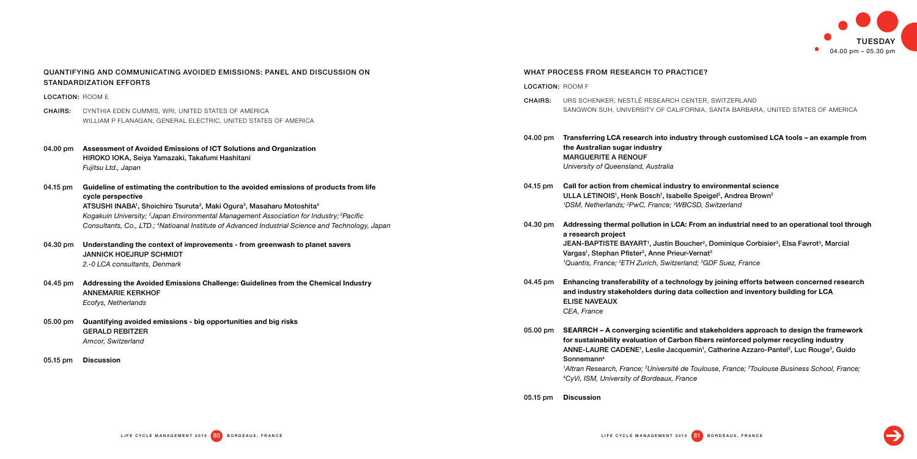|                         | QUANTIFYING AND COMMUNICATING AVOIDED EMISSIONS: PANEL AND DISCUSSION ON                                                                                                                                                                                                                                                                                   |                         | <b>WHAT PROCESS FROM RESEARCH TO PRACTICE?</b>                                                                                                                                                                                                                                                       |  |  |
|-------------------------|------------------------------------------------------------------------------------------------------------------------------------------------------------------------------------------------------------------------------------------------------------------------------------------------------------------------------------------------------------|-------------------------|------------------------------------------------------------------------------------------------------------------------------------------------------------------------------------------------------------------------------------------------------------------------------------------------------|--|--|
|                         | <b>STANDARDIZATION EFFORTS</b>                                                                                                                                                                                                                                                                                                                             | <b>LOCATION: ROOM F</b> |                                                                                                                                                                                                                                                                                                      |  |  |
| <b>LOCATION: ROOM E</b> |                                                                                                                                                                                                                                                                                                                                                            | <b>CHAIRS:</b>          | URS SCHENKER, NESTLÉ RESEARCH CENTER                                                                                                                                                                                                                                                                 |  |  |
| CHAIRS:                 | CYNTHIA EDEN CUMMIS, WRI, UNITED STATES OF AMERICA<br>WILLIAM P FLANAGAN, GENERAL ELECTRIC, UNITED STATES OF AMERICA                                                                                                                                                                                                                                       |                         | SANGWON SUH, UNIVERSITY OF CALIFORNIA,                                                                                                                                                                                                                                                               |  |  |
| 04.00 pm                | Assessment of Avoided Emissions of ICT Solutions and Organization<br>HIROKO IOKA, Seiya Yamazaki, Takafumi Hashitani<br>Fujitsu Ltd., Japan                                                                                                                                                                                                                | $04.00 \,\mathrm{pm}$   | Transferring LCA research into industry th<br>the Australian sugar industry<br><b>MARGUERITE A RENOUF</b><br>University of Queensland, Australia                                                                                                                                                     |  |  |
| 04.15 pm                | Guideline of estimating the contribution to the avoided emissions of products from life<br>cycle perspective<br>ATSUSHI INABA <sup>1</sup> , Shoichiro Tsuruta <sup>2</sup> , Maki Ogura <sup>3</sup> , Masaharu Motoshita <sup>4</sup><br>Kogakuin University; <sup>2</sup> Japan Environmental Management Association for Industry; <sup>3</sup> Pacific | 04.15 pm                | Call for action from chemical industry to et<br>ULLA LETINOIS <sup>1</sup> , Henk Bosch <sup>1</sup> , Isabelle Spe<br><sup>1</sup> DSM, Netherlands; <sup>2</sup> PwC, France; <sup>3</sup> WBCSD, 3                                                                                                |  |  |
| 04.30 pm                | Consultants, Co., LTD.; <sup>4</sup> Natioanal Institute of Advanced Industrial Science and Technology, Japan<br>Understanding the context of improvements - from greenwash to planet savers<br><b>JANNICK HOEJRUP SCHMIDT</b><br>2.-0 LCA consultants, Denmark                                                                                            | 04.30 pm                | Addressing thermal pollution in LCA: From<br>a research project<br>JEAN-BAPTISTE BAYART <sup>1</sup> , Justin Boucher <sup>2</sup> ,<br>Vargas <sup>1</sup> , Stephan Pfister <sup>2</sup> , Anne Prieur-Verna<br><sup>1</sup> Quantis, France; <sup>2</sup> ETH Zurich, Switzerland; <sup>3</sup> G |  |  |
| 04.45 pm                | Addressing the Avoided Emissions Challenge: Guidelines from the Chemical Industry<br><b>ANNEMARIE KERKHOF</b><br>Ecofys, Netherlands                                                                                                                                                                                                                       | 04.45 pm                | Enhancing transferability of a technology b<br>and industry stakeholders during data coll<br><b>ELISE NAVEAUX</b><br>CEA. France                                                                                                                                                                     |  |  |
| $05.00 \,\mathrm{pm}$   | Quantifying avoided emissions - big opportunities and big risks<br><b>GERALD REBITZER</b><br>Amcor, Switzerland                                                                                                                                                                                                                                            | 05.00 pm                | <b>SEARRCH - A converging scientific and state</b><br>for sustainability evaluation of Carbon fibe<br>ANNE-LAURE CADENE <sup>1</sup> , Leslie Jacquemin <sup>1</sup> ,<br>Sonnemann <sup>4</sup>                                                                                                     |  |  |
| $05.15 \text{ pm}$      | <b>Discussion</b>                                                                                                                                                                                                                                                                                                                                          |                         |                                                                                                                                                                                                                                                                                                      |  |  |

<sup>1</sup>Altran Research, France; <sup>2</sup>Université de Toulouse, France; <sup>3</sup>Toulouse Business School, France; 4CyVi, ISM, University of Bordeaux, France





ENTER, SWITZERLAND ORNIA, SANTA BARBARA, UNITED STATES OF AMERICA

try through customised LCA tools – an example from

y to environmental science le Speigel<sup>2</sup>, Andrea Brown<sup>3</sup> CSD, Switzerland

## From an industrial need to an operational tool through

ucher<sup>2</sup>, Dominique Corbisier<sup>3</sup>, Elsa Favrot<sup>3</sup>, Marcial Vernat<sup>3</sup> and; <sup>3</sup>GDF Suez, France

logy by joining efforts between concerned research ta collection and inventory building for LCA

nd stakeholders approach to design the framework on fibers reinforced polymer recycling industry , Leslie Jacquemin<sup>1</sup>, Catherine Azzaro-Pantel<sup>2</sup>, Luc Rouge<sup>3</sup>, Guido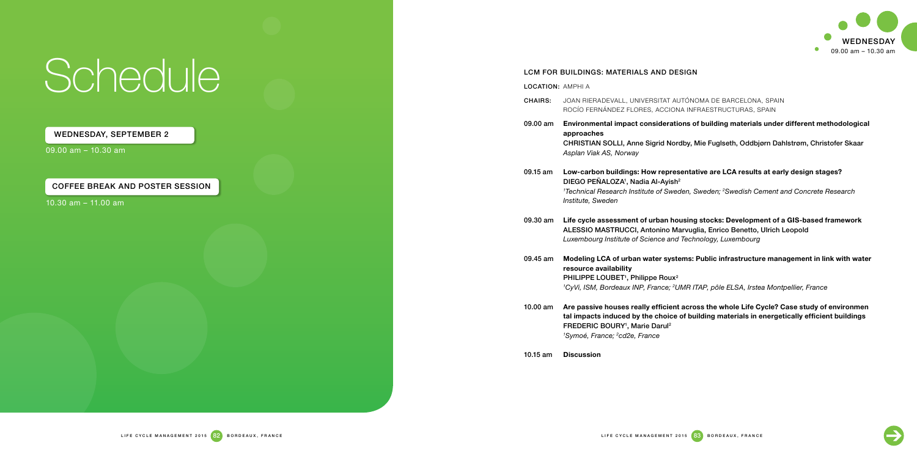09.00 am – 10.30 am

10.30 am – 11.00 am

- CHAIRS: Joan Rieradevall, universitat Autónoma de Barcelona, Spain Rocío Fernández Flores, ACCIONA Infraestructuras, Spain
	- approaches Asplan Viak AS, Norway
- 09.15 am Low-carbon buildings: How representative are LCA results at early design stages? DIEGO PEÑALOZA<sup>1</sup>, Nadia Al-Ayish<sup>2</sup> Institute, Sweden
- Alessio Mastrucci, Antonino Marvuglia, Enrico Benetto, Ulrich Leopold Luxembourg Institute of Science and Technology, Luxembourg
- resource availability PHILIPPE LOUBET<sup>1</sup>, Philippe Roux<sup>2</sup>
- FREDERIC BOURY<sup>1</sup>, Marie Darul<sup>2</sup> <sup>1</sup>Symoé, France; <sup>2</sup>cd2e, France

# **Schedule**

WEDNESDAY, september 2

Coffee break and poster session



## LCM for buildings: Materials and Design

LOCATION: AMPHI A

09.00 am Environmental impact considerations of building materials under different methodological

Christian Solli, Anne Sigrid Nordby, Mie Fuglseth, Oddbjørn Dahlstrøm, Christofer Skaar

<sup>1</sup>Technical Research Institute of Sweden, Sweden; <sup>2</sup>Swedish Cement and Concrete Research

09.30 am Life cycle assessment of urban housing stocks: Development of a GIS-based framework

09.45 am Modeling LCA of urban water systems: Public infrastructure management in link with water

<sup>1</sup>CyVi, ISM, Bordeaux INP, France; <sup>2</sup>UMR ITAP, pôle ELSA, Irstea Montpellier, France

10.00 am Are passive houses really efficient across the whole Life Cycle? Case study of environmen tal impacts induced by the choice of building materials in energetically efficient buildings



10.15 am Discussion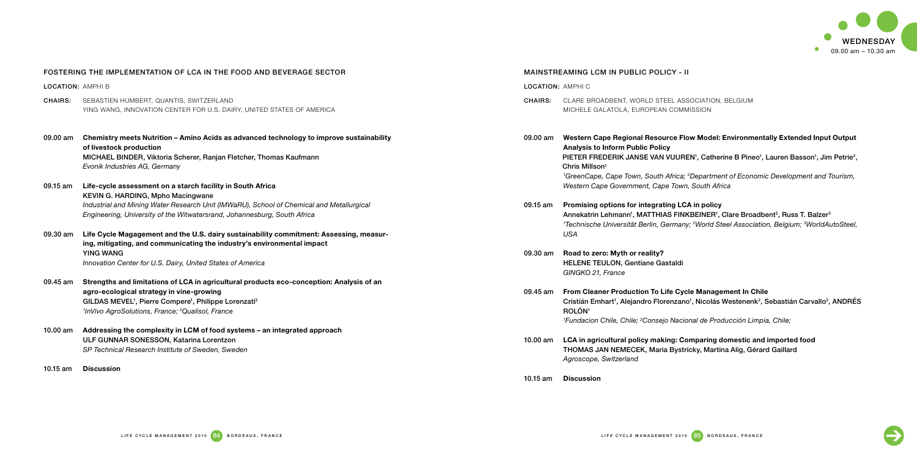Department of Economic Development and Tourism, , South Africa

**1** in policy , MATTHIAS FINKBEINER<sup>1</sup>, Clare Broadbent<sup>2</sup>, Russ T. Balzer<sup>3</sup> World Steel Association, Belgium; <sup>3</sup>WorldAutoSteel,

> le Management In Chile  $5^1$ , Nicolás Westenenk<sup>2</sup>, Sebastián Carvallo<sup>2</sup>, ANDRÉS

nal de Producción Limpia, Chile;

mparing domestic and imported food cky, Martina Alig, Gérard Gaillard



| FOSTERING THE IMPLEMENTATION OF LCA IN THE FOOD AND BEVERAGE SECTOR |                                                                                                                                                                                                                            | <b>MAINSTREAMING LCM IN PUBLIC POLICY - II</b> |                                                                                                                                                                                                                              |
|---------------------------------------------------------------------|----------------------------------------------------------------------------------------------------------------------------------------------------------------------------------------------------------------------------|------------------------------------------------|------------------------------------------------------------------------------------------------------------------------------------------------------------------------------------------------------------------------------|
| <b>LOCATION: AMPHI B</b>                                            |                                                                                                                                                                                                                            | <b>LOCATION: AMPHIC</b>                        |                                                                                                                                                                                                                              |
| <b>CHAIRS:</b>                                                      | SEBASTIEN HUMBERT, QUANTIS, SWITZERLAND<br>YING WANG, INNOVATION CENTER FOR U.S. DAIRY, UNITED STATES OF AMERICA                                                                                                           | <b>CHAIRS:</b>                                 | CLARE BROADBENT, WORLD STEEL ASSO<br>MICHELE GALATOLA, EUROPEAN COMMIS                                                                                                                                                       |
| 09.00 am                                                            | Chemistry meets Nutrition - Amino Acids as advanced technology to improve sustainability<br>of livestock production<br>MICHAEL BINDER, Viktoria Scherer, Ranjan Fletcher, Thomas Kaufmann<br>Evonik Industries AG, Germany | 09.00 am                                       | <b>Western Cape Regional Resource Flow</b><br><b>Analysis to Inform Public Policy</b><br>PIETER FREDERIK JANSE VAN VUUREN'<br>Chris Millson <sup>1</sup><br><sup>1</sup> GreenCape, Cape Town, South Africa; <sup>2</sup> De |
| 09.15 am                                                            | Life-cycle assessment on a starch facility in South Africa<br>KEVIN G. HARDING, Mpho Macingwane                                                                                                                            |                                                | Western Cape Government, Cape Town, S                                                                                                                                                                                        |
|                                                                     | Industrial and Mining Water Research Unit (IMWaRU), School of Chemical and Metallurgical<br>Engineering, University of the Witwatersrand, Johannesburg, South Africa                                                       | 09.15 am                                       | Promising options for integrating LCA in<br>Annekatrin Lehmann <sup>1</sup> , MATTHIAS FINKBI<br><sup>1</sup> Technische Universität Berlin, Germany; <sup>21</sup>                                                          |
| 09.30 am                                                            | Life Cycle Magagement and the U.S. dairy sustainability commitment: Assessing, measur-<br>ing, mitigating, and communicating the industry's environmental impact                                                           |                                                | <b>USA</b>                                                                                                                                                                                                                   |
|                                                                     | <b>YING WANG</b><br>Innovation Center for U.S. Dairy, United States of America                                                                                                                                             | 09.30 am                                       | Road to zero: Myth or reality?<br><b>HELENE TEULON, Gentiane Gastaldi</b><br>GINGKO 21, France                                                                                                                               |
| 09.45 am                                                            | Strengths and limitations of LCA in agricultural products eco-conception: Analysis of an                                                                                                                                   |                                                |                                                                                                                                                                                                                              |
|                                                                     | agro-ecological strategy in vine-growing<br>GILDAS MEVEL <sup>1</sup> , Pierre Compere <sup>1</sup> , Philippe Lorenzati <sup>2</sup><br><sup>1</sup> InVivo AgroSolutions, France; <sup>2</sup> Qualisol, France          | 09.45 am                                       | From Cleaner Production To Life Cycle<br>Cristián Emhart <sup>1</sup> , Alejandro Florenzano <sup>1</sup> , I<br>ROLÓN <sup>1</sup><br><sup>1</sup> Fundacion Chile, Chile; <sup>2</sup> Consejo Naciona                     |
| $10.00$ am                                                          | Addressing the complexity in LCM of food systems - an integrated approach                                                                                                                                                  |                                                |                                                                                                                                                                                                                              |
|                                                                     | ULF GUNNAR SONESSON, Katarina Lorentzon<br>SP Technical Research Institute of Sweden, Sweden                                                                                                                               | 10.00 am                                       | LCA in agricultural policy making: Com<br>THOMAS JAN NEMECEK, Maria Bystrick<br>Agroscope, Switzerland                                                                                                                       |
| 10.15 am                                                            | <b>Discussion</b>                                                                                                                                                                                                          | $10.15$ am                                     | <b>Discussion</b>                                                                                                                                                                                                            |
|                                                                     |                                                                                                                                                                                                                            |                                                |                                                                                                                                                                                                                              |



COCIATION, BELGIUM **IISSION** 

## w Model: Environmentally Extended Input Output

, Catherine B Pineo<sup>1</sup>, Lauren Basson<sup>1</sup>, Jim Petrie<sup>2</sup>,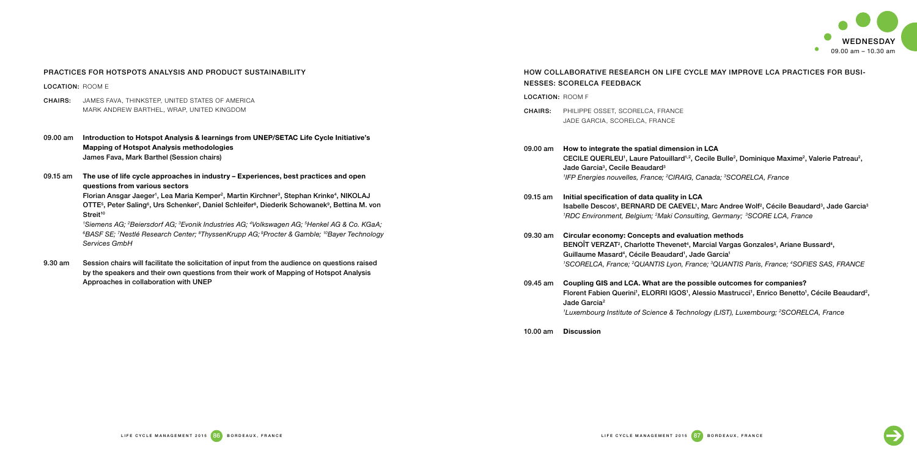## Practices for Hotspots Analysis and Product Sustainability

Location: ROOM E

CHAIRS: James Fava, Thinkstep, United States of America Mark Andrew Barthel, WRAP, United Kingdom

## 09.00 am Introduction to Hotspot Analysis & learnings from UNEP/SETAC Life Cycle Initiative's Mapping of Hotspot Analysis methodologies James Fava, Mark Barthel (Session chairs)

- CHAIRS: Philippe Osset, SCORELCA, France Jade GARCIA, SCORELCA, France
- 09.00 am How to integrate the spatial dimension in LCA Jade Garcia<sup>3</sup>, Cecile Beaudard<sup>3</sup> <sup>1</sup>IFP Energies nouvelles, France; <sup>2</sup>CIRAIG, Canada; <sup>3</sup>SCORELCA, France
- 09.15 am Initial specification of data quality in LCA <sup>1</sup>RDC Environment, Belgium; <sup>2</sup>Maki Consulting, Germany; <sup>3</sup>SCORE LCA, France
- 09.30 am Circular economy: Concepts and evaluation methods Guillaume Masard<sup>4</sup>, Cécile Beaudard<sup>1</sup>, Jade Garcia<sup>1</sup>
- 09.45 am Coupling GIS and LCA. What are the possible outcomes for companies? Jade Garcia<sup>2</sup>

09.15 am The use of life cycle approaches in industry – Experiences, best practices and open questions from various sectors Florian Ansgar Jaeger<sup>1</sup>, Lea Maria Kemper<sup>2</sup>, Martin Kirchner<sup>3</sup>, Stephan Krinke<sup>4</sup>, NIKOLAJ OTTE<sup>5</sup>, Peter Saling<sup>6</sup>, Urs Schenker<sup>7</sup>, Daniel Schleifer<sup>8</sup>, Diederik Schowanek<sup>9</sup>, Bettina M. von Streit<sup>10</sup> 1 Siemens AG; 2 Beiersdorf AG; 3Evonik Industries AG; 4 Volkswagen AG; 5 Henkel AG & Co. KGaA; <sup>6</sup>BASF SE; <sup>7</sup>Nestlé Research Center; <sup>s</sup>ThyssenKrupp AG; <sup>9</sup>Procter & Gamble; 1ºBayer Technology Services GmbH

9.30 am Session chairs will facilitate the solicitation of input from the audience on questions raised by the speakers and their own questions from their work of Mapping of Hotspot Analysis Approaches in collaboration with UNEP



CECILE QUERLEU<sup>1</sup>, Laure Patouillard<sup>1,2</sup>, Cecile Bulle<sup>2</sup>, Dominique Maxime<sup>2</sup>, Valerie Patreau<sup>2</sup>,

Isabelle Descos<sup>1</sup>, BERNARD DE CAEVEL<sup>1</sup>, Marc Andree Wolf<sup>2</sup>, Cécile Beaudard<sup>3</sup>, Jade Garcia<sup>3</sup>

BENOÎT VERZAT<sup>2</sup>, Charlotte Thevenet<sup>4</sup>, Marcial Vargas Gonzales<sup>3</sup>, Ariane Bussard<sup>4</sup>, <sup>1</sup>SCORELCA, France; <sup>2</sup>QUANTIS Lyon, France; <sup>3</sup>QUANTIS Paris, France; <sup>4</sup>SOFIES SAS, FRANCE

Florent Fabien Querini<sup>1</sup>, ELORRI IGOS<sup>1</sup>, Alessio Mastrucci<sup>1</sup>, Enrico Benetto<sup>1</sup>, Cécile Beaudard<sup>2</sup>,

<sup>1</sup>Luxembourg Institute of Science & Technology (LIST), Luxembourg; <sup>2</sup>SCORELCA, France



## How collaborative research on Life Cycle may improve LCA practices for businesses: SCORELCA feedback

Location: room f

10.00 am Discussion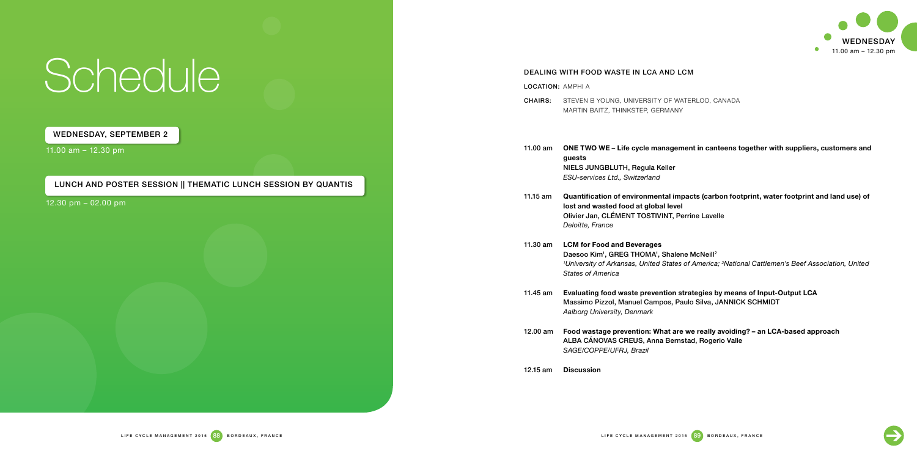

11.00 am – 12.30 pm

LUNCH AND POSTER SESSION || THEMATIC LUNCH SESSION BY QUANTIS

12.30 pm – 02.00 pm

# **Schedule**

WEDNESDAY, september 2



## Dealing with food waste in LCA and LCM

LOCATION: AMPHI A

CHAIRS: Steven B Young, University of Waterloo, Canada Martin Baitz, thinkstep, Germany

11.00 am ONE TWO WE – Life cycle management in canteens together with suppliers, customers and

| .00 am | <b>ONE TWO WE - Life cycle managemer</b> |
|--------|------------------------------------------|
|        | quests                                   |
|        | NIELS JUNGBLUTH, Regula Keller           |
|        | ESU-services Ltd., Switzerland           |
|        |                                          |

11.15 am Quantification of environmental impacts (carbon footprint, water footprint and land use) of

<sup>1</sup>University of Arkansas, United States of America; <sup>2</sup>National Cattlemen's Beef Association, United



- lost and wasted food at global level Olivier Jan, Clément Tostivint, Perrine Lavelle Deloitte, France
- 11.30 am LCM for Food and Beverages Daesoo Kim<sup>1</sup>, GREG THOMA<sup>1</sup>, Shalene McNeill<sup>2</sup> States of America
- 11.45 am Evaluating food waste prevention strategies by means of Input-Output LCA Massimo Pizzol, Manuel Campos, Paulo Silva, JANNICK SCHMIDT Aalborg University, Denmark
- 12.00 am Food wastage prevention: What are we really avoiding? an LCA-based approach Alba Cánovas Creus, Anna Bernstad, Rogerio Valle SAGE/COPPE/UFRJ, Brazil

12.15 am Discussion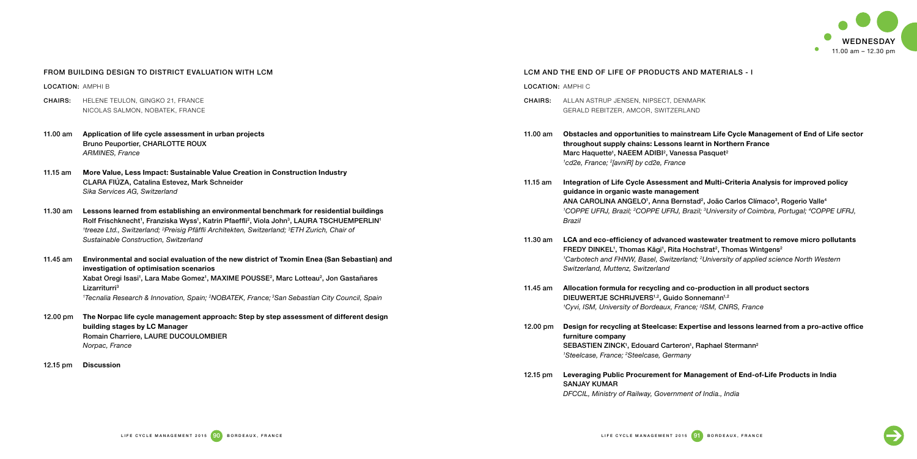| FROM BUILDING DESIGN TO DISTRICT EVALUATION WITH LCM<br><b>LOCATION: AMPHI B</b> |                                                                                                                                                                                                                                                                                                                                                                                       |                | LCM AND THE END OF LIFE OF PRODUCTS AND MATERIALS - I<br><b>LOCATION: AMPHIC</b>                                                                                                                                                                                                  |  |  |
|----------------------------------------------------------------------------------|---------------------------------------------------------------------------------------------------------------------------------------------------------------------------------------------------------------------------------------------------------------------------------------------------------------------------------------------------------------------------------------|----------------|-----------------------------------------------------------------------------------------------------------------------------------------------------------------------------------------------------------------------------------------------------------------------------------|--|--|
|                                                                                  |                                                                                                                                                                                                                                                                                                                                                                                       |                |                                                                                                                                                                                                                                                                                   |  |  |
| <b>CHAIRS:</b>                                                                   | HELENE TEULON, GINGKO 21, FRANCE<br>NICOLAS SALMON, NOBATEK, FRANCE                                                                                                                                                                                                                                                                                                                   | <b>CHAIRS:</b> | ALLAN ASTRUP JENSEN, NIPSECT, DENMARK<br>GERALD REBITZER, AMCOR, SWITZERLAND                                                                                                                                                                                                      |  |  |
| 11.00 $am$                                                                       | Application of life cycle assessment in urban projects<br>Bruno Peuportier, CHARLOTTE ROUX<br><b>ARMINES, France</b>                                                                                                                                                                                                                                                                  | 11.00 am       | Obstacles and opportunities to mainstream Life Cycle Man<br>throughout supply chains: Lessons learnt in Northern Frane<br>Marc Haquette <sup>1</sup> , NAEEM ADIBI <sup>2</sup> , Vanessa Pasquet <sup>2</sup><br><sup>1</sup> cd2e, France; <sup>2</sup> [avniR] by cd2e, France |  |  |
| $11.15$ am                                                                       | More Value, Less Impact: Sustainable Value Creation in Construction Industry<br>CLARA FIÚZA, Catalina Estevez, Mark Schneider<br>Sika Services AG, Switzerland                                                                                                                                                                                                                        | 11.15 am       | Integration of Life Cycle Assessment and Multi-Criteria Ana<br>guidance in organic waste management<br>ANA CAROLINA ANGELO <sup>1</sup> , Anna Bernstad <sup>2</sup> , João Carlos Clím                                                                                           |  |  |
| 11.30 am                                                                         | Lessons learned from establishing an environmental benchmark for residential buildings<br>Rolf Frischknecht <sup>1</sup> , Franziska Wyss <sup>1</sup> , Katrin Pfaeffli <sup>2</sup> , Viola John <sup>3</sup> , LAURA TSCHUEMPERLIN <sup>1</sup><br><sup>1</sup> treeze Ltd., Switzerland; <sup>2</sup> Preisig Pfäffli Architekten, Switzerland; <sup>3</sup> ETH Zurich, Chair of |                | <sup>1</sup> COPPE UFRJ, Brazil; <sup>2</sup> COPPE UFRJ, Brazil; <sup>3</sup> University of Coim<br>Brazil                                                                                                                                                                       |  |  |
|                                                                                  | Sustainable Construction, Switzerland                                                                                                                                                                                                                                                                                                                                                 | 11.30 am       | LCA and eco-efficiency of advanced wastewater treatment<br>FREDY DINKEL <sup>1</sup> , Thomas Kägi <sup>1</sup> , Rita Hochstrat <sup>2</sup> , Thomas Win                                                                                                                        |  |  |
| 11.45 am                                                                         | Environmental and social evaluation of the new district of Txomin Enea (San Sebastian) and<br>investigation of optimisation scenarios<br>Xabat Oregi Isasi', Lara Mabe Gomez <sup>1</sup> , MAXIME POUSSE <sup>2</sup> , Marc Lotteau <sup>2</sup> , Jon Gastañares                                                                                                                   |                | <sup>1</sup> Carbotech and FHNW, Basel, Switzerland; <sup>2</sup> University of applie<br>Switzerland, Muttenz, Switzerland                                                                                                                                                       |  |  |
|                                                                                  | Lizarriturri <sup>3</sup><br><sup>1</sup> Tecnalia Research & Innovation, Spain; <sup>2</sup> NOBATEK, France; <sup>3</sup> San Sebastian City Council, Spain                                                                                                                                                                                                                         | 11.45 am       | Allocation formula for recycling and co-production in all pr<br>DIEUWERTJE SCHRIJVERS <sup>1,2</sup> , Guido Sonnemann <sup>1,2</sup><br><sup>1</sup> Cyvi, ISM, University of Bordeaux, France; <sup>2</sup> ISM, CNRS, France                                                   |  |  |
| 12.00 pm                                                                         | The Norpac life cycle management approach: Step by step assessment of different design<br>building stages by LC Manager<br>Romain Charriere, LAURE DUCOULOMBIER<br>Norpac, France                                                                                                                                                                                                     | 12.00 pm       | Design for recycling at Steelcase: Expertise and lessons lea<br>furniture company<br>SEBASTIEN ZINCK <sup>1</sup> , Edouard Carteron <sup>1</sup> , Raphael Stermann <sup>2</sup>                                                                                                 |  |  |
| $12.15 \text{ pm}$                                                               | <b>Discussion</b>                                                                                                                                                                                                                                                                                                                                                                     |                | <sup>1</sup> Steelcase, France: <sup>2</sup> Steelcase, Germany                                                                                                                                                                                                                   |  |  |

## nent and Multi-Criteria Analysis for improved policy lement ernstad<sup>2</sup>, João Carlos Clímaco<sup>3</sup>, Rogerio Valle<sup>4</sup> COPPE UFRJ, Brazil; 3 University of Coimbra, Portugal; 4COPPE UFRJ,

ed wastewater treatment to remove micro pollutants a Hochstrat<sup>2</sup>, Thomas Wintgens<sup>2</sup> Carbotech and FHNW, Basel, Switzerland; <sup>2</sup>University of applied science North Western

## nd co-production in all product sectors do Sonnemann<sup>1,2</sup>

## **Expertise and lessons learned from a pro-active office**



## S AND MATERIALS - I

## ainstream Life Cycle Management of End of Life sector ns learnt in Northern France  $n$ essa Pasquet $2$

## 12.15 pm Leveraging Public Procurement for Management of End-of-Life Products in India



Sanjay Kumar DFCCIL, Ministry of Railway, Government of India., India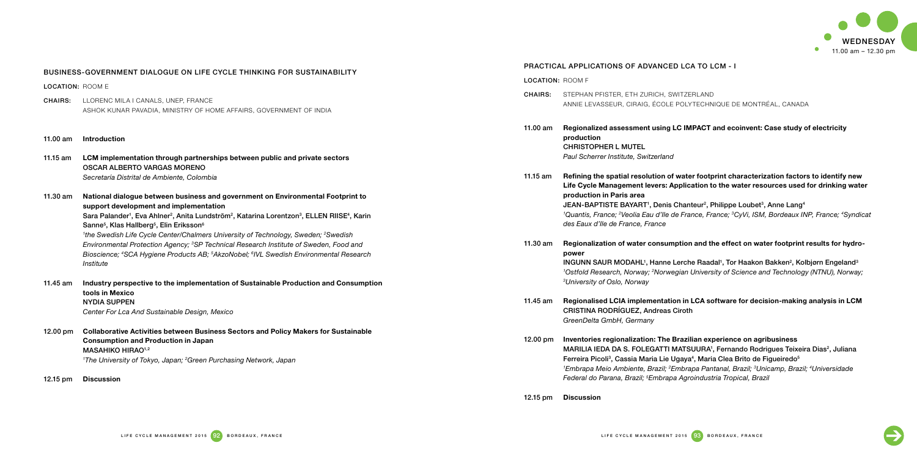## Business-Government Dialogue on Life Cycle Thinking for Sustainability LOCATION: ROOM E

- CHAIRS: Llorenc Mila i Canals, UNEP, France Ashok Kunar Pavadia, Ministry of Home Affairs, Government of India
- 11.00 am Introduction
- 11.15 am LCM implementation through partnerships between public and private sectors Oscar Alberto Vargas Moreno Secretaría Distrital de Ambiente, Colombia

11.30 am National dialogue between business and government on Environmental Footprint to support development and implementation Sara Palander<sup>1</sup>, Eva Ahlner<sup>2</sup>, Anita Lundström<sup>2</sup>, Katarina Lorentzon<sup>3</sup>, ELLEN RIISE<sup>4</sup>, Karin Sanne<sup>5</sup>, Klas Hallberg<sup>5</sup>, Elin Eriksson<sup>6</sup> <sup>1</sup>the Swedish Life Cycle Center/Chalmers University of Technology, Sweden; <sup>2</sup>Swedish Environmental Protection Agency; 3SP Technical Research Institute of Sweden, Food and Bioscience; <sup>4</sup>SCA Hygiene Products AB; <sup>5</sup>AkzoNobel; <sup>6</sup>IVL Swedish Environmental Research Institute

- CHAIRS: Stephan Pfister, eth zurich, Switzerland Annie Levasseur, CIRAIG, École Polytechnique de Montréal, Canada
- 11.00 am Regionalized assessment using LC IMPACT and ecoinvent: Case study of electricity production CHRISTOPHER L MUTEL Paul Scherrer Institute, Switzerland
- production in Paris area JEAN-BAPTISTE BAYART<sup>1</sup>, Denis Chanteur<sup>2</sup>, Philippe Loubet<sup>3</sup>, Anne Lang<sup>4</sup> des Eaux d'Ile de France, France
- power 3 University of Oslo, Norway
- Cristina Rodríguez, Andreas Ciroth GreenDelta GmbH, Germany
- 12.00 pm Inventories regionalization: The Brazilian experience on agribusiness Ferreira Picoli<sup>3</sup>, Cassia Maria Lie Ugaya<sup>4</sup>, Maria Clea Brito de Figueiredo<sup>5</sup> Federal do Parana, Brazil; <sup>5</sup>Embrapa Agroindustria Tropical, Brazil
- 11.45 am Industry perspective to the implementation of Sustainable Production and Consumption tools in Mexico Nydia Suppen Center For Lca And Sustainable Design, Mexico
- 12.00 pm Collaborative Activities between Business Sectors and Policy Makers for Sustainable Consumption and Production in Japan MASAHIKO HIRAO<sup>1,2</sup> <sup>1</sup>The University of Tokyo, Japan; <sup>2</sup>Green Purchasing Network, Japan
- 12.15 pm Discussion

LOCATION: ROOM F

INGUNN SAUR MODAHL<sup>1</sup>, Hanne Lerche Raadal<sup>1</sup>, Tor Haakon Bakken<sup>2</sup>, Kolbjørn Engeland<sup>3</sup> 1 Ostfold Research, Norway; 2 Norwegian University of Science and Technology (NTNU), Norway;



**PA TO LCM - I** 

## 11.15 am Refining the spatial resolution of water footprint characterization factors to identify new Life Cycle Management levers: Application to the water resources used for drinking water

1 Quantis, France; 2 Veolia Eau d'Ile de France, France; 3CyVi, ISM, Bordeaux INP, France; 4Syndicat

## 11.30 am Regionalization of water consumption and the effect on water footprint results for hydro-

## 11.45 am Regionalised LCIA implementation in LCA software for decision-making analysis in LCM

MARILIA IEDA DA S. FOLEGATTI MATSUURA<sup>1</sup>, Fernando Rodrigues Teixeira Dias<sup>2</sup>, Juliana <sup>1</sup>Embrapa Meio Ambiente, Brazil; <sup>2</sup>Embrapa Pantanal, Brazil; <sup>3</sup>Unicamp, Brazil; <sup>4</sup>Universidade



12.15 pm Discussion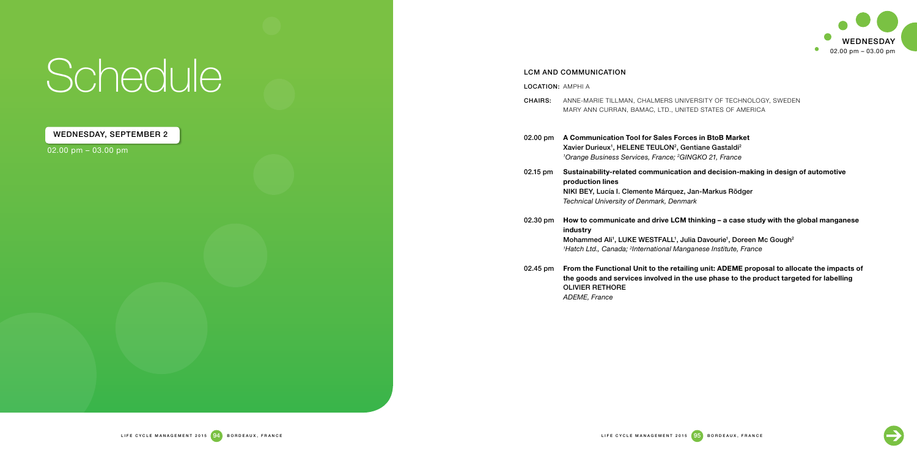02.00 pm – 03.00 pm

## WEDNESDAY, september 2



## LCM and communication

LOCATION: AMPHI A

- CHAIRS: Anne-Marie Tillman, Chalmers University of Technology, Sweden Mary Ann Curran, BAMAC, Ltd., United States of America
- 02.00 pm A Communication Tool for Sales Forces in BtoB Market Xavier Durieux<sup>1</sup>, HELENE TEULON<sup>2</sup>, Gentiane Gastaldi<sup>2</sup> <sup>1</sup>Orange Business Services, France; <sup>2</sup>GINGKO 21, France
- 02.15 pm Sustainability-related communication and decision-making in design of automotive production lines Niki Bey, Lucía I. Clemente Márquez, Jan-Markus Rödger Technical University of Denmark, Denmark
	- industry Mohammed Ali<sup>1</sup>, LUKE WESTFALL<sup>1</sup>, Julia Davourie<sup>1</sup>, Doreen Mc Gough<sup>2</sup> <sup>1</sup>Hatch Ltd., Canada; <sup>2</sup>International Manganese Institute, France
- Olivier RETHORE ADEME, France

## 02.30 pm How to communicate and drive LCM thinking – a case study with the global manganese

02.45 pm From the Functional Unit to the retailing unit: ADEME proposal to allocate the impacts of the goods and services involved in the use phase to the product targeted for labelling

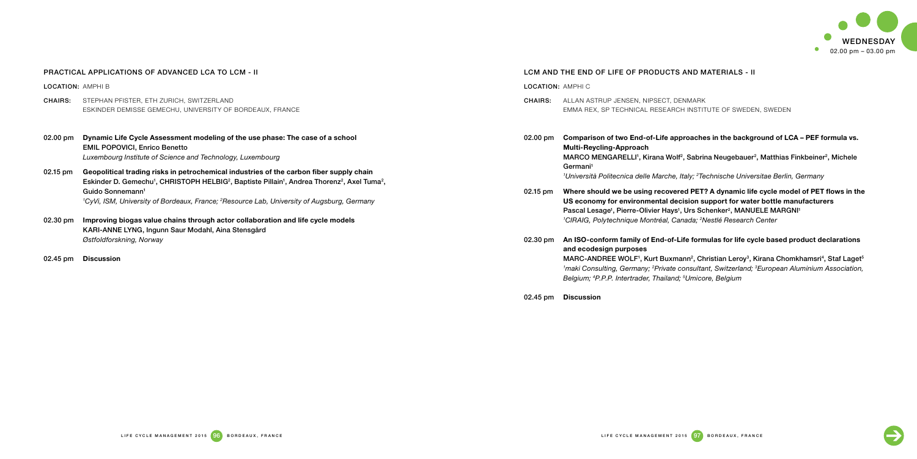| <b>PRACTICAL APPLICATIONS OF ADVANCED LCA TO LCM - II</b> |                                                                                                                                                                                                                                                      | LCM AND THE END OF LIFE OF PRODUCTS AND M |                                                                                                                                                                                                                  |
|-----------------------------------------------------------|------------------------------------------------------------------------------------------------------------------------------------------------------------------------------------------------------------------------------------------------------|-------------------------------------------|------------------------------------------------------------------------------------------------------------------------------------------------------------------------------------------------------------------|
| <b>LOCATION: AMPHI B</b>                                  |                                                                                                                                                                                                                                                      | <b>LOCATION: AMPHIC</b>                   |                                                                                                                                                                                                                  |
| <b>CHAIRS:</b>                                            | STEPHAN PFISTER, ETH ZURICH, SWITZERLAND<br>ESKINDER DEMISSE GEMECHU, UNIVERSITY OF BORDEAUX, FRANCE                                                                                                                                                 | CHAIRS:                                   | ALLAN ASTRUP JENSEN, NIPSECT, DENMARK<br>EMMA REX, SP TECHNICAL RESEARCH INSTIT                                                                                                                                  |
| $02.00 \,\mathrm{pm}$                                     | Dynamic Life Cycle Assessment modeling of the use phase: The case of a school<br><b>EMIL POPOVICI, Enrico Benetto</b><br>Luxembourg Institute of Science and Technology, Luxembourg                                                                  | $02.00 \,\mathrm{pm}$                     | Comparison of two End-of-Life approache<br><b>Multi-Reycling-Approach</b><br>MARCO MENGARELLI <sup>1</sup> , Kirana Wolf <sup>2</sup> , Sabri                                                                    |
| 02.15 pm                                                  | Geopolitical trading risks in petrochemical industries of the carbon fiber supply chain<br>Eskinder D. Gemechu <sup>1</sup> , CHRISTOPH HELBIG <sup>2</sup> , Baptiste Pillain <sup>1</sup> , Andrea Thorenz <sup>2</sup> , Axel Tuma <sup>2</sup> , |                                           | Germani <sup>1</sup><br><sup>1</sup> Università Politecnica delle Marche, Italy; <sup>2</sup> Te                                                                                                                 |
|                                                           | Guido Sonnemann <sup>1</sup><br><sup>1</sup> CyVi, ISM, University of Bordeaux, France; <sup>2</sup> Resource Lab, University of Augsburg, Germany                                                                                                   | $02.15 \,\mathrm{pm}$                     | Where should we be using recovered PET<br>US economy for environmental decision s<br>Pascal Lesage <sup>1</sup> , Pierre-Olivier Hays <sup>1</sup> , Urs Sc                                                      |
| $02.30 \text{ pm}$                                        | Improving biogas value chains through actor collaboration and life cycle models<br>KARI-ANNE LYNG, Ingunn Saur Modahl, Aina Stensgård                                                                                                                |                                           | <sup>1</sup> CIRAIG, Polytechnique Montréal, Canada; <sup>2</sup> N                                                                                                                                              |
|                                                           | Østfoldforskning, Norway                                                                                                                                                                                                                             | $02.30 \,\mathrm{pm}$                     | An ISO-conform family of End-of-Life forn<br>and ecodesign purposes                                                                                                                                              |
| 02.45 pm                                                  | <b>Discussion</b>                                                                                                                                                                                                                                    |                                           | MARC-ANDREE WOLF <sup>1</sup> , Kurt Buxmann <sup>2</sup> , Ch<br><sup>1</sup> maki Consulting, Germany; <sup>2</sup> Private consulta<br>Belgium; <sup>4</sup> P.P.P. Intertrader, Thailand; <sup>5</sup> Umico |



## ID MATERIALS - II

ISTITUTE OF SWEDEN, SWEDEN

## aches in the background of LCA – PEF formula vs.

abrina Neugebauer<sup>2</sup>, Matthias Finkbeiner<sup>2</sup>, Michele

; <sup>2</sup>Technische Universitae Berlin, Germany

PET? A dynamic life cycle model of PET flows in the on support for water bottle manufacturers , Urs Schenker<sup>2</sup>, MANUELE MARGNI' la; <sup>2</sup>Nestlé Research Center

## formulas for life cycle based product declarations

, Christian Leroy<sup>3</sup>, Kirana Chomkhamsri<sup>4</sup>, Staf Laget<sup>5</sup> sultant, Switzerland; <sup>3</sup>European Aluminium Association, nicore, Belgium



02.45 pm Discussion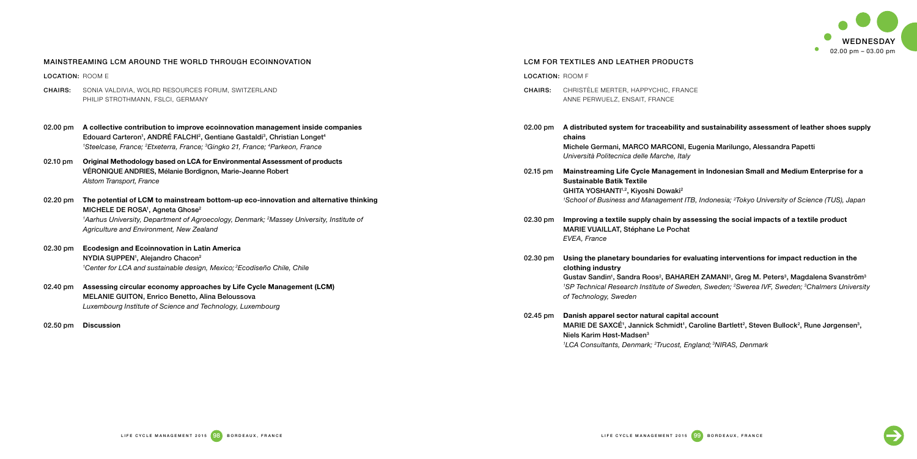CHAIRS: Sonia Valdivia, WOLRD RESOUrces forum, switzerland PHILIP STROTHMANN, FSLCI, GERMANY

## Mainstreaming LCM around the world through ecoinnovation

LOCATION: ROOM E

| 02.00 pm A collective contribution to improve ecoinnovation management inside companies                                      |
|------------------------------------------------------------------------------------------------------------------------------|
| Edouard Carteron <sup>1</sup> , ANDRÉ FALCHI <sup>2</sup> , Gentiane Gastaldi <sup>3</sup> , Christian Longet <sup>4</sup>   |
| <sup>1</sup> Steelcase, France; <sup>2</sup> Etxeterra, France; <sup>3</sup> Gingko 21, France; <sup>4</sup> Parkeon, France |

- 02.10 pm Original Methodology based on LCA for Environmental Assessment of products VÉRONIQUE ANDRIES, Mélanie Bordignon, Marie-Jeanne Robert Alstom Transport, France
- 02.20 pm The potential of LCM to mainstream bottom-up eco-innovation and alternative thinking MICHELE DE ROSA', Agneta Ghose<sup>2</sup> <sup>1</sup>Aarhus University, Department of Agroecology, Denmark; <sup>2</sup>Massey University, Institute of Agriculture and Environment, New Zealand
- 02.30 pm Ecodesign and Ecoinnovation in Latin America NYDIA SUPPEN', Alejandro Chacon<del>'</del> <sup>1</sup>Center for LCA and sustainable design, Mexico; <sup>2</sup>Ecodiseño Chile, Chile
- 02.40 pm Assessing circular economy approaches by Life Cycle Management (LCM) Melanie Guiton, Enrico Benetto, Alina Beloussova Luxembourg Institute of Science and Technology, Luxembourg
- 02.50 pm Discussion
- CHAIRS: Christèle MERTER, HAPPYCHIC, France Anne Perwuelz, ENSAIT, France
- chains Michele Germani, Marco Marconi, Eugenia Marilungo, Alessandra Papetti Università Politecnica delle Marche, Italy
- Sustainable Batik Textile GHITA YOSHANTI<sup>1,2</sup>, Kiyoshi Dowaki<sup>2</sup>
- Marie VUAILLAT, Stéphane Le Pochat EVEA, France
- clothing industry of Technology, Sweden
- 02.45 pm Danish apparel sector natural capital account Niels Karim Høst-Madsen3 <sup>1</sup>LCA Consultants, Denmark; <sup>2</sup>Trucost, England; <sup>3</sup>NIRAS, Denmark



## 02.00 pm A distributed system for traceability and sustainability assessment of leather shoes supply

## LCM for textiles and leather products

LOCATION: ROOM F

## 02.15 pm Mainstreaming Life Cycle Management in Indonesian Small and Medium Enterprise for a

<sup>1</sup>School of Business and Management ITB, Indonesia; <sup>2</sup>Tokyo University of Science (TUS), Japan

## 02.30 pm Improving a textile supply chain by assessing the social impacts of a textile product

## 02.30 pm Using the planetary boundaries for evaluating interventions for impact reduction in the

Gustav Sandin<sup>1</sup>, Sandra Roos<sup>2</sup>, BAHAREH ZAMANI<sup>3</sup>, Greg M. Peters<sup>3</sup>, Magdalena Svanström<sup>3</sup> <sup>1</sup>SP Technical Research Institute of Sweden, Sweden; <sup>2</sup>Swerea IVF, Sweden; <sup>3</sup>Chalmers University

MARIE DE SAXCE<sup>1</sup>, Jannick Schmidt<sup>1</sup>, Caroline Bartlett<sup>2</sup>, Steven Bullock<sup>2</sup>, Rune Jørgensen<sup>3</sup>,